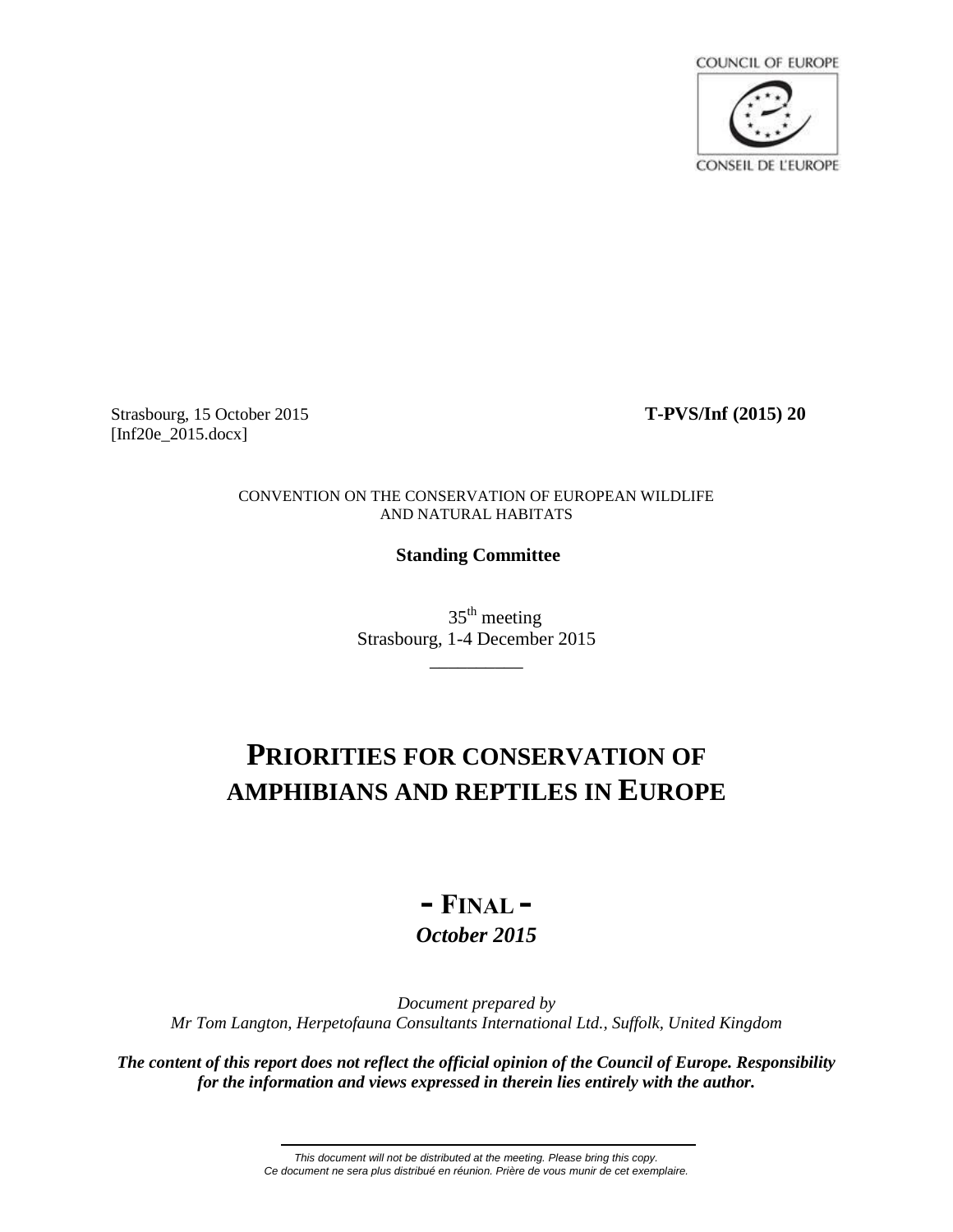**COUNCIL OF EUROPE CONSEIL DE L'EUROPE** 

Strasbourg, 15 October 2015 **T-PVS/Inf (2015) 20** [Inf20e 2015.docx]

CONVENTION ON THE CONSERVATION OF EUROPEAN WILDLIFE AND NATURAL HABITATS

## **Standing Committee**

 $35<sup>th</sup>$  meeting Strasbourg, 1-4 December 2015

\_\_\_\_\_\_\_\_\_\_

# **PRIORITIES FOR CONSERVATION OF AMPHIBIANS AND REPTILES IN EUROPE**

## **- FINAL -** *October 2015*

*Document prepared by Mr Tom Langton, Herpetofauna Consultants International Ltd., Suffolk, United Kingdom*

*The content of this report does not reflect the official opinion of the Council of Europe. Responsibility for the information and views expressed in therein lies entirely with the author.*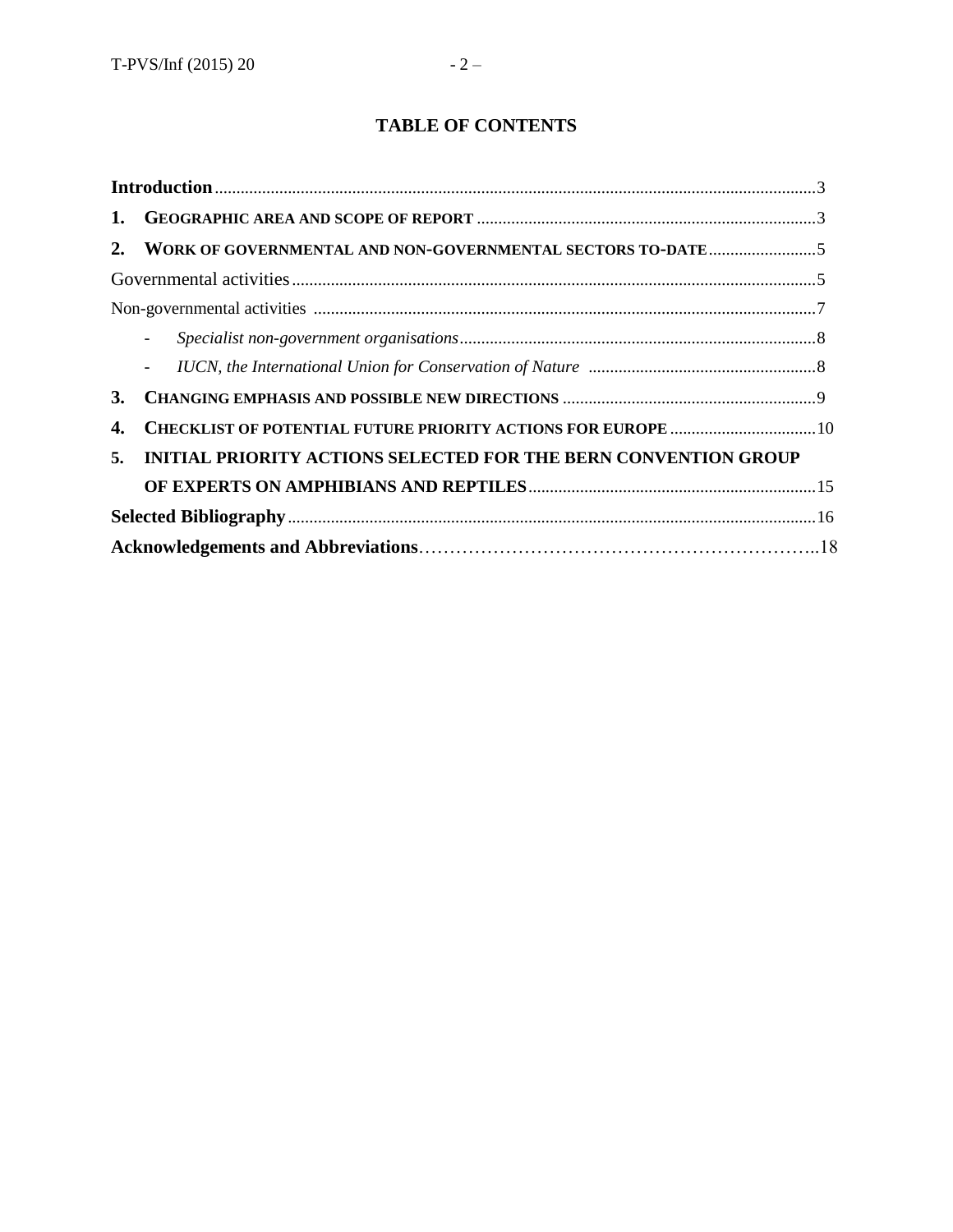## **TABLE OF CONTENTS**

| 1. |                                                                        |  |
|----|------------------------------------------------------------------------|--|
| 2. |                                                                        |  |
|    |                                                                        |  |
|    |                                                                        |  |
|    |                                                                        |  |
|    |                                                                        |  |
| 3. |                                                                        |  |
| 4. |                                                                        |  |
| 5. | <b>INITIAL PRIORITY ACTIONS SELECTED FOR THE BERN CONVENTION GROUP</b> |  |
|    |                                                                        |  |
|    |                                                                        |  |
|    |                                                                        |  |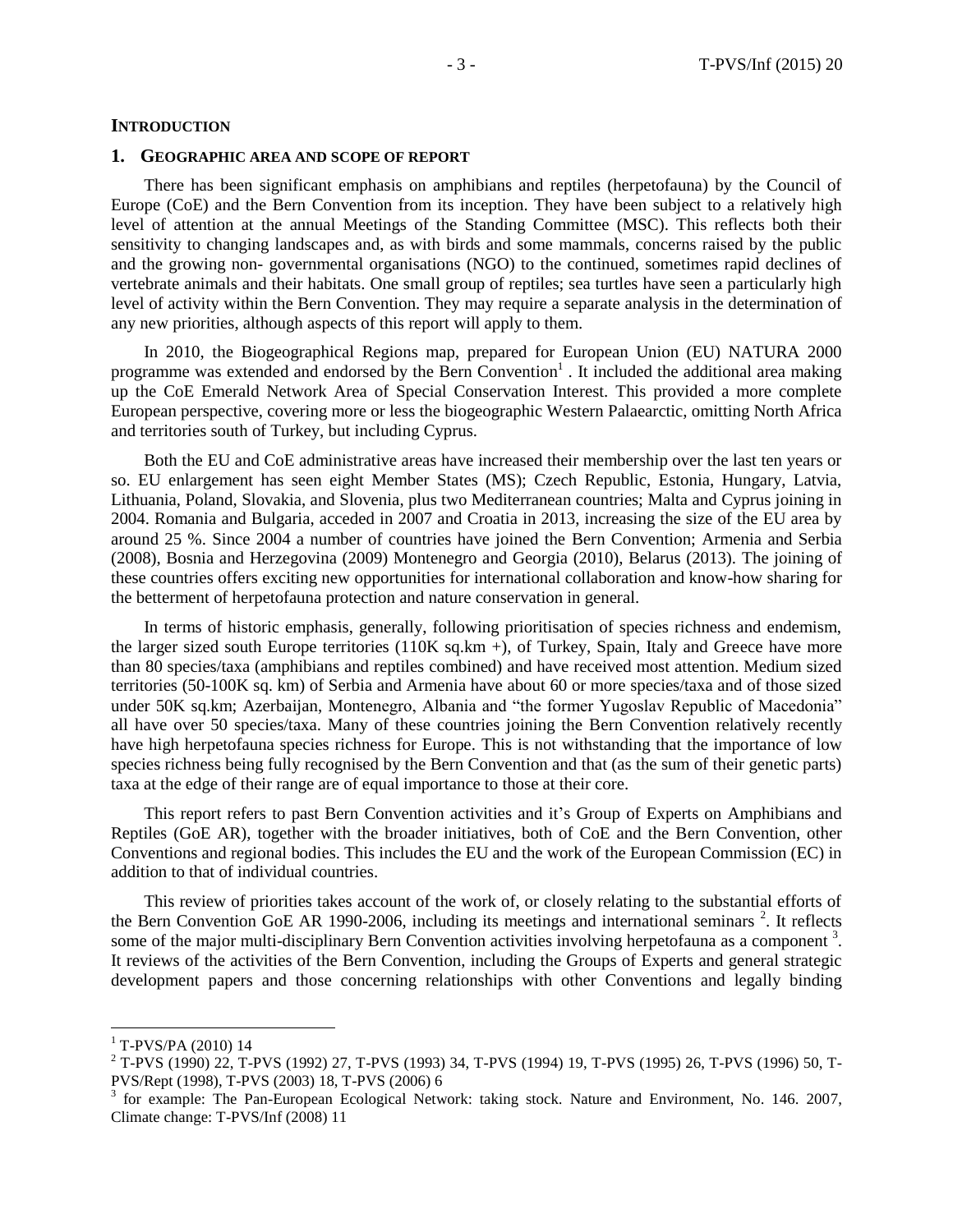#### **INTRODUCTION**

#### **1. GEOGRAPHIC AREA AND SCOPE OF REPORT**

There has been significant emphasis on amphibians and reptiles (herpetofauna) by the Council of Europe (CoE) and the Bern Convention from its inception. They have been subject to a relatively high level of attention at the annual Meetings of the Standing Committee (MSC). This reflects both their sensitivity to changing landscapes and, as with birds and some mammals, concerns raised by the public and the growing non- governmental organisations (NGO) to the continued, sometimes rapid declines of vertebrate animals and their habitats. One small group of reptiles; sea turtles have seen a particularly high level of activity within the Bern Convention. They may require a separate analysis in the determination of any new priorities, although aspects of this report will apply to them.

In 2010, the Biogeographical Regions map, prepared for European Union (EU) NATURA 2000 programme was extended and endorsed by the Bern Convention<sup>1</sup>. It included the additional area making up the CoE Emerald Network Area of Special Conservation Interest. This provided a more complete European perspective, covering more or less the biogeographic Western Palaearctic, omitting North Africa and territories south of Turkey, but including Cyprus.

Both the EU and CoE administrative areas have increased their membership over the last ten years or so. EU enlargement has seen eight Member States (MS); Czech Republic, Estonia, Hungary, Latvia, Lithuania, Poland, Slovakia, and Slovenia, plus two Mediterranean countries; Malta and Cyprus joining in 2004. Romania and Bulgaria, acceded in 2007 and Croatia in 2013, increasing the size of the EU area by around 25 %. Since 2004 a number of countries have joined the Bern Convention; Armenia and Serbia (2008), Bosnia and Herzegovina (2009) Montenegro and Georgia (2010), Belarus (2013). The joining of these countries offers exciting new opportunities for international collaboration and know-how sharing for the betterment of herpetofauna protection and nature conservation in general.

In terms of historic emphasis, generally, following prioritisation of species richness and endemism, the larger sized south Europe territories (110K sq.km +), of Turkey, Spain, Italy and Greece have more than 80 species/taxa (amphibians and reptiles combined) and have received most attention. Medium sized territories (50-100K sq. km) of Serbia and Armenia have about 60 or more species/taxa and of those sized under 50K sq.km; Azerbaijan, Montenegro, Albania and "the former Yugoslav Republic of Macedonia" all have over 50 species/taxa. Many of these countries joining the Bern Convention relatively recently have high herpetofauna species richness for Europe. This is not withstanding that the importance of low species richness being fully recognised by the Bern Convention and that (as the sum of their genetic parts) taxa at the edge of their range are of equal importance to those at their core.

This report refers to past Bern Convention activities and it's Group of Experts on Amphibians and Reptiles (GoE AR), together with the broader initiatives, both of CoE and the Bern Convention, other Conventions and regional bodies. This includes the EU and the work of the European Commission (EC) in addition to that of individual countries.

This review of priorities takes account of the work of, or closely relating to the substantial efforts of the Bern Convention GoE AR 1990-2006, including its meetings and international seminars<sup>2</sup>. It reflects some of the major multi-disciplinary Bern Convention activities involving herpetofauna as a component<sup>3</sup>. It reviews of the activities of the Bern Convention, including the Groups of Experts and general strategic development papers and those concerning relationships with other Conventions and legally binding

 $1$  T-PVS/PA (2010) 14

<sup>2</sup> T-PVS (1990) 22, T-PVS (1992) 27, T-PVS (1993) 34, T-PVS (1994) 19, T-PVS (1995) 26, T-PVS (1996) 50, T-PVS/Rept (1998), T-PVS (2003) 18, T-PVS (2006) 6

<sup>3</sup> for example: The Pan-European Ecological Network: taking stock. Nature and Environment, No. 146. 2007, Climate change: T-PVS/Inf (2008) 11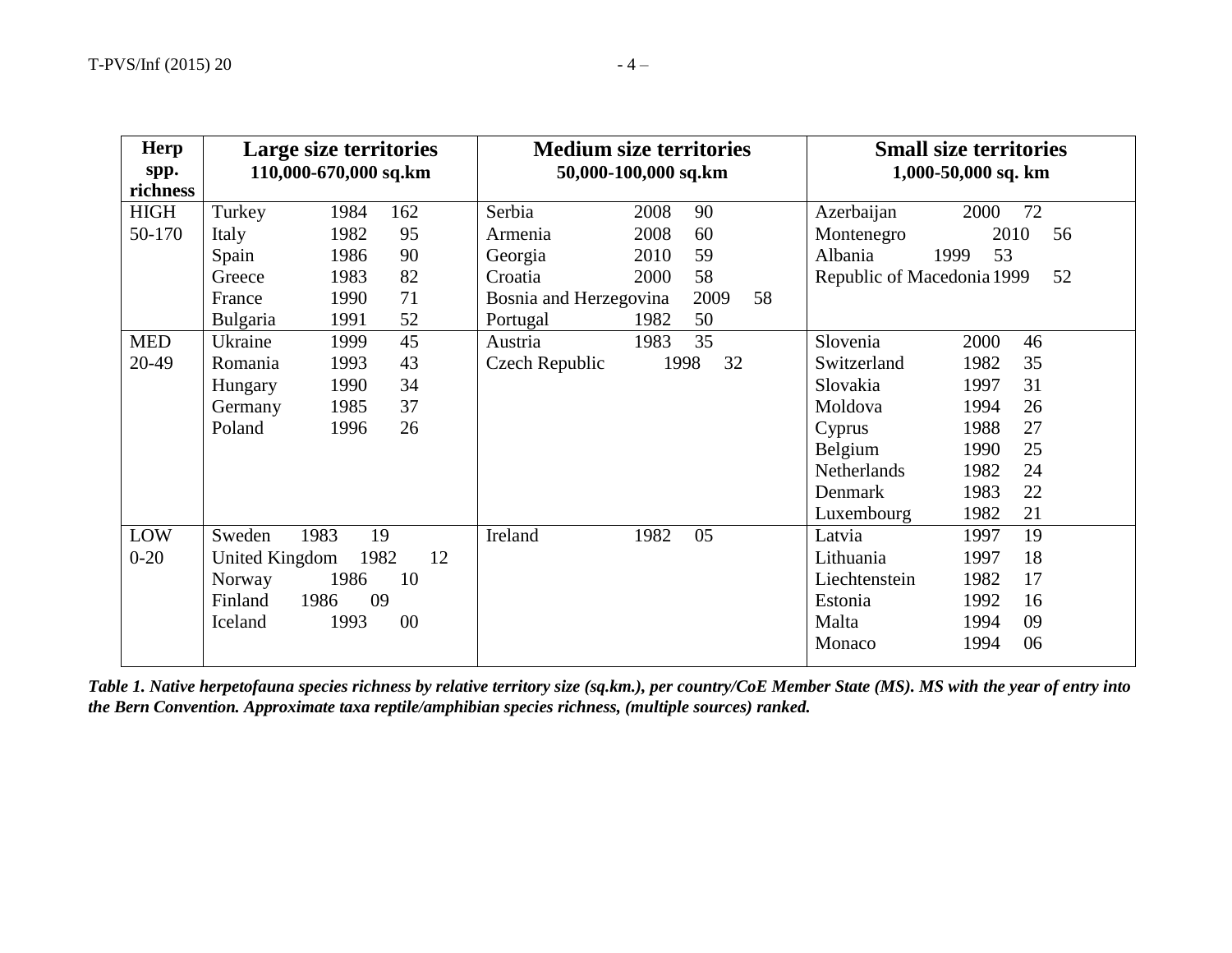| <b>Herp</b> | Large size territories        | <b>Medium size territories</b> |            | <b>Small size territories</b> |    |
|-------------|-------------------------------|--------------------------------|------------|-------------------------------|----|
| spp.        | 110,000-670,000 sq.km         | 50,000-100,000 sq.km           |            | 1,000-50,000 sq. km           |    |
| richness    |                               |                                |            |                               |    |
| <b>HIGH</b> | Turkey<br>162<br>1984         | Serbia<br>2008                 | 90         | Azerbaijan<br>2000            | 72 |
| 50-170      | 1982<br>Italy<br>95           | 2008<br>Armenia                | 60         | 2010<br>Montenegro            | 56 |
|             | 90<br>1986<br>Spain           | 2010<br>Georgia                | 59         | 53<br>Albania<br>1999         |    |
|             | 1983<br>82<br>Greece          | Croatia<br>2000                | 58         | Republic of Macedonia 1999    | 52 |
|             | 71<br>1990<br>France          | Bosnia and Herzegovina         | 58<br>2009 |                               |    |
|             | 1991<br>52<br><b>Bulgaria</b> | 1982<br>Portugal               | 50         |                               |    |
| <b>MED</b>  | 45<br>1999<br>Ukraine         | 1983<br>Austria                | 35         | Slovenia<br>2000              | 46 |
| 20-49       | 1993<br>43<br>Romania         | Czech Republic                 | 1998<br>32 | Switzerland<br>1982           | 35 |
|             | 1990<br>34<br>Hungary         |                                |            | Slovakia<br>1997              | 31 |
|             | 1985<br>37<br>Germany         |                                |            | Moldova<br>1994               | 26 |
|             | Poland<br>1996<br>26          |                                |            | 1988<br>Cyprus                | 27 |
|             |                               |                                |            | Belgium<br>1990               | 25 |
|             |                               |                                |            | Netherlands<br>1982           | 24 |
|             |                               |                                |            | Denmark<br>1983               | 22 |
|             |                               |                                |            | 1982<br>Luxembourg            | 21 |
| LOW         | Sweden<br>1983<br>19          | 1982<br>Ireland                | 05         | Latvia<br>1997                | 19 |
| $0-20$      | <b>United Kingdom</b><br>1982 | 12                             |            | Lithuania<br>1997             | 18 |
|             | 1986<br>10<br>Norway          |                                |            | 1982<br>Liechtenstein         | 17 |
|             | 09<br>Finland<br>1986         |                                |            | 1992<br>Estonia               | 16 |
|             | $00\,$<br>1993<br>Iceland     |                                |            | Malta<br>1994                 | 09 |
|             |                               |                                |            | Monaco<br>1994                | 06 |
|             |                               |                                |            |                               |    |

*Table 1. Native herpetofauna species richness by relative territory size (sq.km.), per country/CoE Member State (MS). MS with the year of entry into the Bern Convention. Approximate taxa reptile/amphibian species richness, (multiple sources) ranked.*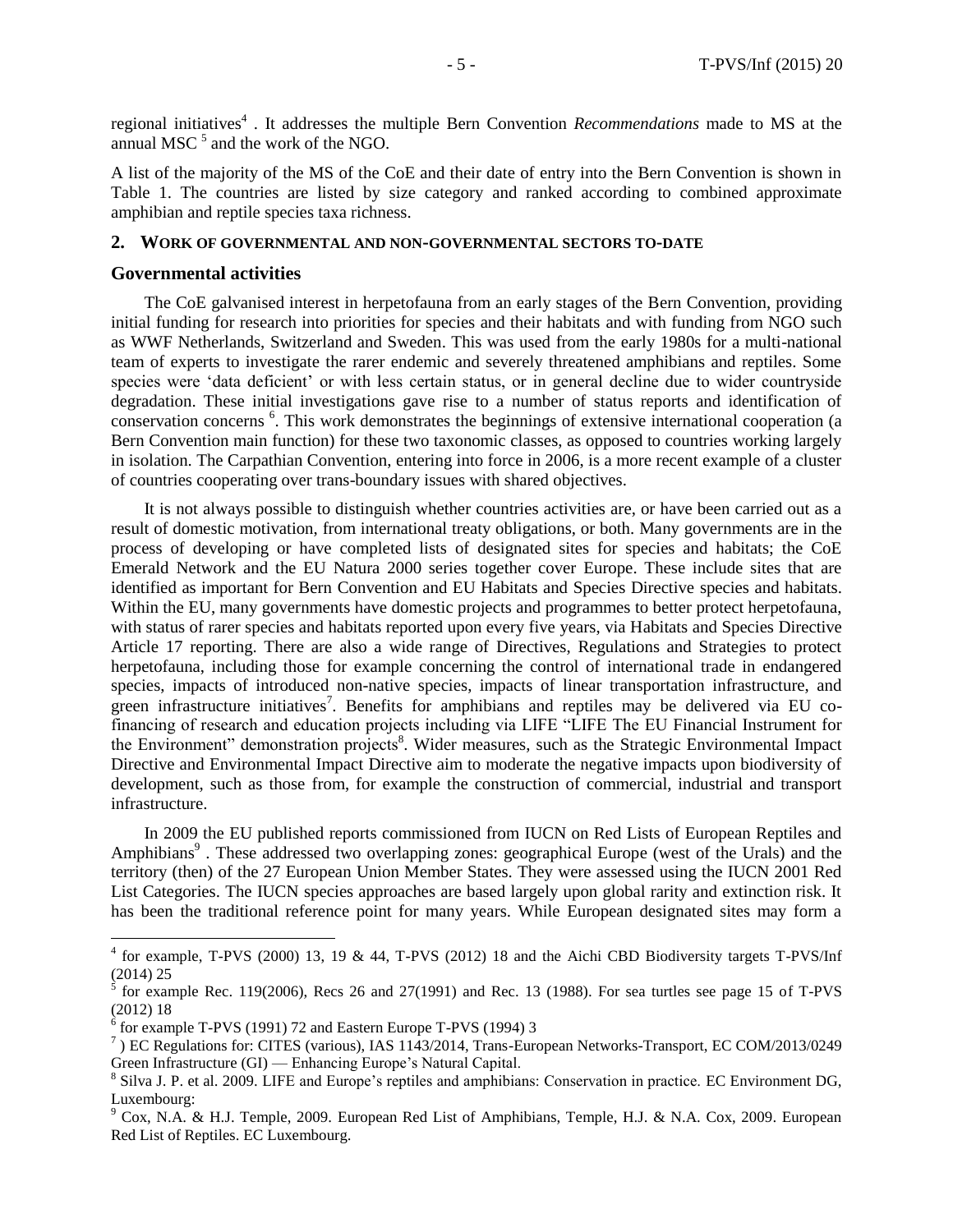regional initiatives<sup>4</sup>. It addresses the multiple Bern Convention *Recommendations* made to MS at the annual MSC $<sup>5</sup>$  and the work of the NGO.</sup>

A list of the majority of the MS of the CoE and their date of entry into the Bern Convention is shown in Table 1. The countries are listed by size category and ranked according to combined approximate amphibian and reptile species taxa richness.

### **2. WORK OF GOVERNMENTAL AND NON-GOVERNMENTAL SECTORS TO-DATE**

#### **Governmental activities**

 $\overline{a}$ 

The CoE galvanised interest in herpetofauna from an early stages of the Bern Convention, providing initial funding for research into priorities for species and their habitats and with funding from NGO such as WWF Netherlands, Switzerland and Sweden. This was used from the early 1980s for a multi-national team of experts to investigate the rarer endemic and severely threatened amphibians and reptiles. Some species were 'data deficient' or with less certain status, or in general decline due to wider countryside degradation. These initial investigations gave rise to a number of status reports and identification of conservation concerns <sup>6</sup>. This work demonstrates the beginnings of extensive international cooperation (a Bern Convention main function) for these two taxonomic classes, as opposed to countries working largely in isolation. The Carpathian Convention, entering into force in 2006, is a more recent example of a cluster of countries cooperating over trans-boundary issues with shared objectives.

It is not always possible to distinguish whether countries activities are, or have been carried out as a result of domestic motivation, from international treaty obligations, or both. Many governments are in the process of developing or have completed lists of designated sites for species and habitats; the CoE Emerald Network and the EU Natura 2000 series together cover Europe. These include sites that are identified as important for Bern Convention and EU Habitats and Species Directive species and habitats. Within the EU, many governments have domestic projects and programmes to better protect herpetofauna, with status of rarer species and habitats reported upon every five years, via Habitats and Species Directive Article 17 reporting. There are also a wide range of Directives, Regulations and Strategies to protect herpetofauna, including those for example concerning the control of international trade in endangered species, impacts of introduced non-native species, impacts of linear transportation infrastructure, and green infrastructure initiatives<sup>7</sup>. Benefits for amphibians and reptiles may be delivered via EU cofinancing of research and education projects including via LIFE "LIFE The EU Financial Instrument for the Environment" demonstration projects<sup>8</sup>. Wider measures, such as the Strategic Environmental Impact Directive and Environmental Impact Directive aim to moderate the negative impacts upon biodiversity of development, such as those from, for example the construction of commercial, industrial and transport infrastructure.

In 2009 the EU published reports commissioned from IUCN on Red Lists of European Reptiles and Amphibians<sup>9</sup>. These addressed two overlapping zones: geographical Europe (west of the Urals) and the territory (then) of the 27 European Union Member States. They were assessed using the IUCN 2001 Red List Categories. The IUCN species approaches are based largely upon global rarity and extinction risk. It has been the traditional reference point for many years. While European designated sites may form a

 $4$  for example, T-PVS (2000) 13, 19 & 44, T-PVS (2012) 18 and the Aichi CBD Biodiversity targets T-PVS/Inf (2014) 25

<sup>5</sup> for example Rec. 119(2006), Recs 26 and 27(1991) and Rec. 13 (1988). For sea turtles see page 15 of T-PVS (2012) 18

 $6$  for example T-PVS (1991) 72 and Eastern Europe T-PVS (1994) 3

<sup>7</sup> ) EC Regulations for: CITES (various), IAS 1143/2014, Trans-European Networks-Transport, EC COM/2013/0249 Green Infrastructure (GI) — Enhancing Europe's Natural Capital.

<sup>&</sup>lt;sup>8</sup> Silva J. P. et al. 2009. LIFE and Europe's reptiles and amphibians: Conservation in practice. EC Environment DG, Luxembourg:

 $9^9$  Cox, N.A. & H.J. Temple, 2009. European Red List of Amphibians, Temple, H.J. & N.A. Cox, 2009. European Red List of Reptiles. EC Luxembourg.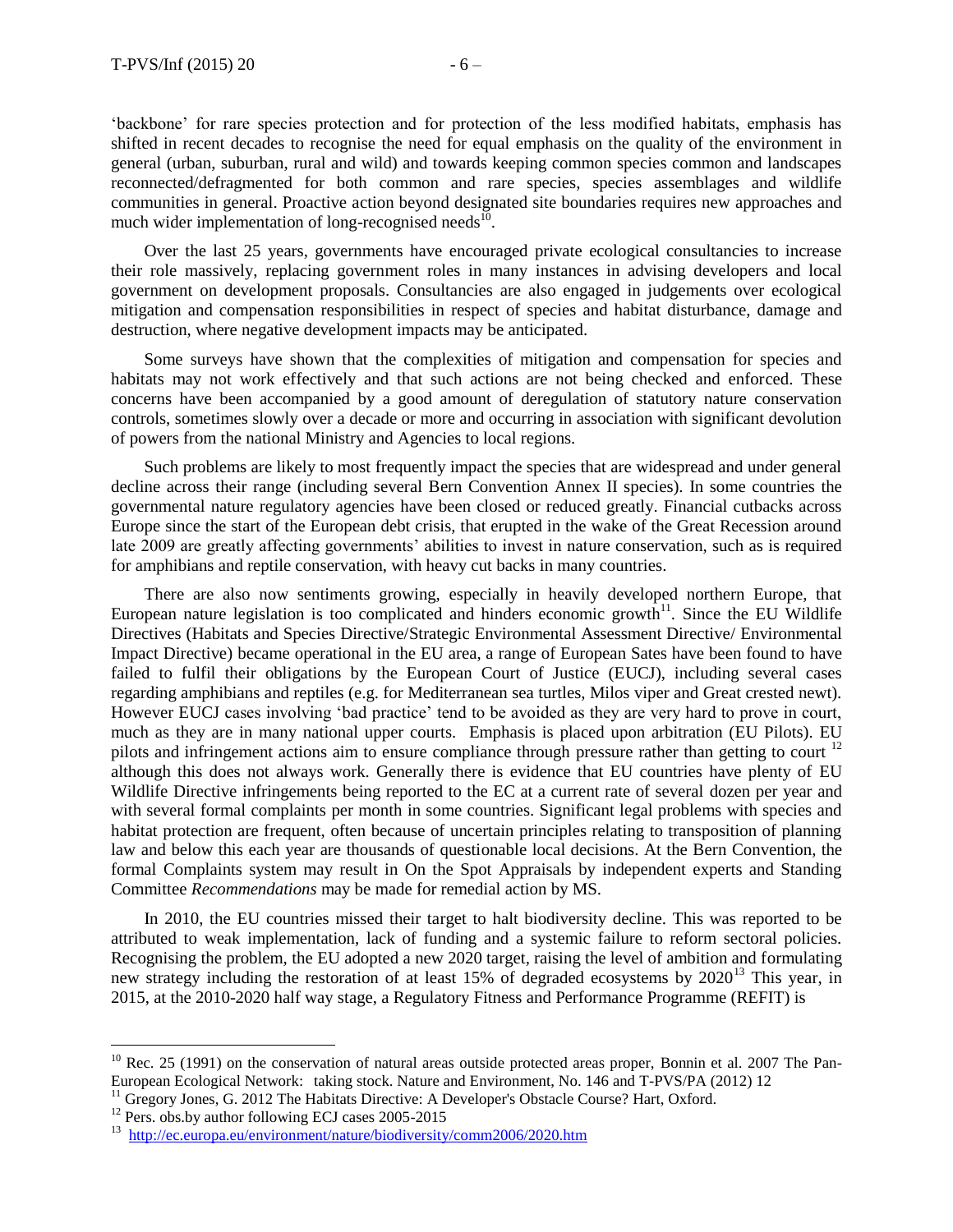'backbone' for rare species protection and for protection of the less modified habitats, emphasis has shifted in recent decades to recognise the need for equal emphasis on the quality of the environment in general (urban, suburban, rural and wild) and towards keeping common species common and landscapes reconnected/defragmented for both common and rare species, species assemblages and wildlife communities in general. Proactive action beyond designated site boundaries requires new approaches and much wider implementation of long-recognised needs<sup>10</sup>.

Over the last 25 years, governments have encouraged private ecological consultancies to increase their role massively, replacing government roles in many instances in advising developers and local government on development proposals. Consultancies are also engaged in judgements over ecological mitigation and compensation responsibilities in respect of species and habitat disturbance, damage and destruction, where negative development impacts may be anticipated.

Some surveys have shown that the complexities of mitigation and compensation for species and habitats may not work effectively and that such actions are not being checked and enforced. These concerns have been accompanied by a good amount of deregulation of statutory nature conservation controls, sometimes slowly over a decade or more and occurring in association with significant devolution of powers from the national Ministry and Agencies to local regions.

Such problems are likely to most frequently impact the species that are widespread and under general decline across their range (including several Bern Convention Annex II species). In some countries the governmental nature regulatory agencies have been closed or reduced greatly. Financial cutbacks across Europe since the start of the European debt crisis, that erupted in the wake of the Great Recession around late 2009 are greatly affecting governments' abilities to invest in nature conservation, such as is required for amphibians and reptile conservation, with heavy cut backs in many countries.

There are also now sentiments growing, especially in heavily developed northern Europe, that European nature legislation is too complicated and hinders economic growth<sup>11</sup>. Since the EU Wildlife Directives (Habitats and Species Directive/Strategic Environmental Assessment Directive/ Environmental Impact Directive) became operational in the EU area, a range of European Sates have been found to have failed to fulfil their obligations by the European Court of Justice (EUCJ), including several cases regarding amphibians and reptiles (e.g. for Mediterranean sea turtles, Milos viper and Great crested newt). However EUCJ cases involving 'bad practice' tend to be avoided as they are very hard to prove in court, much as they are in many national upper courts. Emphasis is placed upon arbitration (EU Pilots). EU pilots and infringement actions aim to ensure compliance through pressure rather than getting to court<sup>12</sup> although this does not always work. Generally there is evidence that EU countries have plenty of EU Wildlife Directive infringements being reported to the EC at a current rate of several dozen per year and with several formal complaints per month in some countries. Significant legal problems with species and habitat protection are frequent, often because of uncertain principles relating to transposition of planning law and below this each year are thousands of questionable local decisions. At the Bern Convention, the formal Complaints system may result in On the Spot Appraisals by independent experts and Standing Committee *Recommendations* may be made for remedial action by MS.

In 2010, the EU countries missed their target to halt biodiversity decline. This was reported to be attributed to weak implementation, lack of funding and a systemic failure to reform sectoral policies. Recognising the problem, the EU adopted a new 2020 target, raising the level of ambition and formulating new strategy including the restoration of at least 15% of degraded ecosystems by  $2020^{13}$  This year, in 2015, at the 2010-2020 half way stage, a Regulatory Fitness and Performance Programme (REFIT) is

 $10$  Rec. 25 (1991) on the conservation of natural areas outside protected areas proper, Bonnin et al. 2007 The Pan-European Ecological Network: taking stock. Nature and Environment, No. 146 and T-PVS/PA (2012) 12

<sup>&</sup>lt;sup>11</sup> Gregory Jones, G. 2012 The Habitats Directive: A Developer's Obstacle Course? Hart, Oxford.

<sup>&</sup>lt;sup>12</sup> Pers. obs.by author following ECJ cases 2005-2015

<sup>&</sup>lt;sup>13</sup><http://ec.europa.eu/environment/nature/biodiversity/comm2006/2020.htm>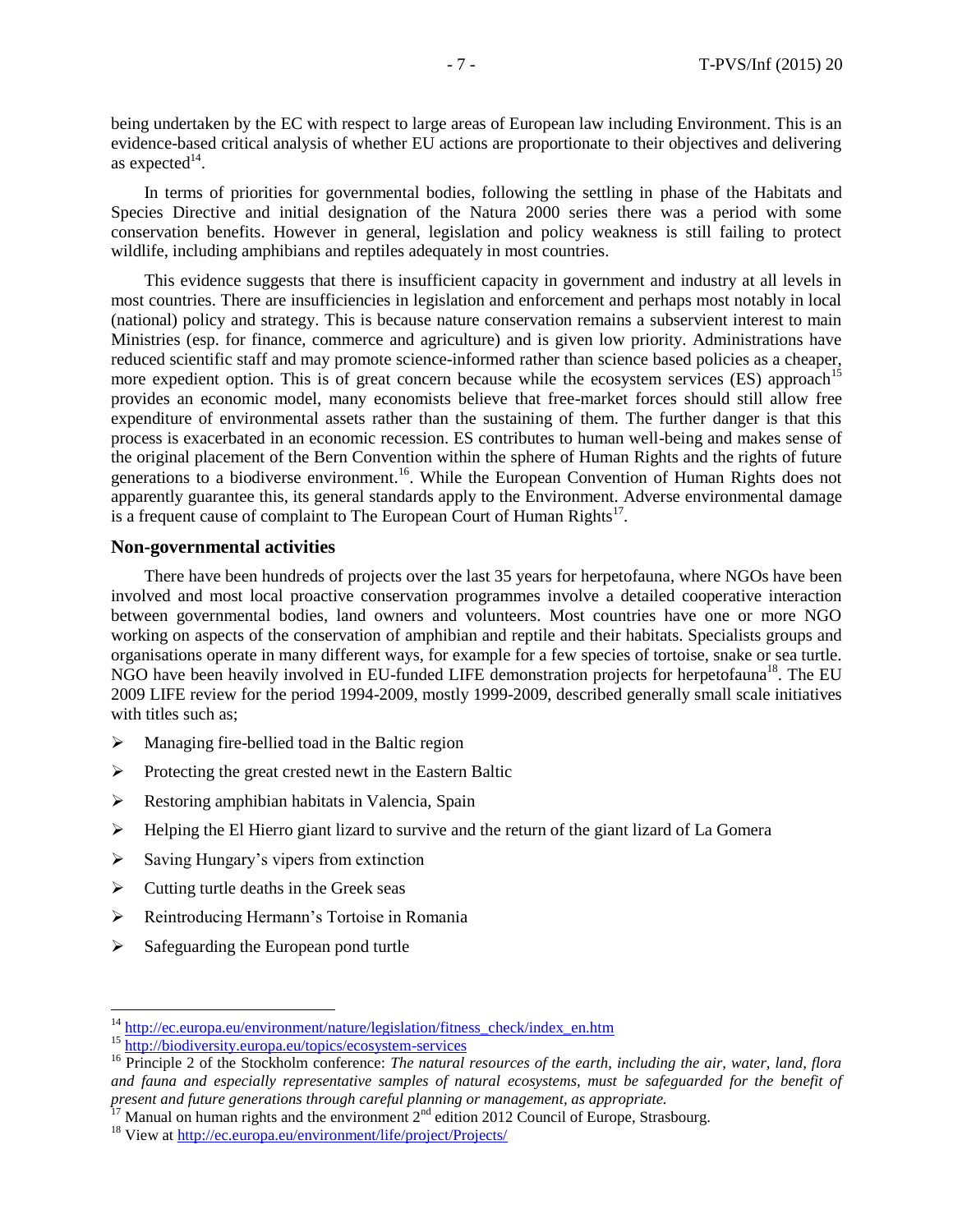being undertaken by the EC with respect to large areas of European law including Environment. This is an evidence-based critical analysis of whether EU actions are proportionate to their objectives and delivering as expected $^{14}$ .

In terms of priorities for governmental bodies, following the settling in phase of the Habitats and Species Directive and initial designation of the Natura 2000 series there was a period with some conservation benefits. However in general, legislation and policy weakness is still failing to protect wildlife, including amphibians and reptiles adequately in most countries.

This evidence suggests that there is insufficient capacity in government and industry at all levels in most countries. There are insufficiencies in legislation and enforcement and perhaps most notably in local (national) policy and strategy. This is because nature conservation remains a subservient interest to main Ministries (esp. for finance, commerce and agriculture) and is given low priority. Administrations have reduced scientific staff and may promote science-informed rather than science based policies as a cheaper, more expedient option. This is of great concern because while the ecosystem services (ES) approach<sup>15</sup> provides an economic model, many economists believe that free-market forces should still allow free expenditure of environmental assets rather than the sustaining of them. The further danger is that this process is exacerbated in an economic recession. ES contributes to human well-being and makes sense of the original placement of the Bern Convention within the sphere of Human Rights and the rights of future generations to a biodiverse environment.<sup>16</sup>. While the European Convention of Human Rights does not apparently guarantee this, its general standards apply to the Environment. Adverse environmental damage is a frequent cause of complaint to The European Court of Human Rights $^{17}$ .

### **Non-governmental activities**

There have been hundreds of projects over the last 35 years for herpetofauna, where NGOs have been involved and most local proactive conservation programmes involve a detailed cooperative interaction between governmental bodies, land owners and volunteers. Most countries have one or more NGO working on aspects of the conservation of amphibian and reptile and their habitats. Specialists groups and organisations operate in many different ways, for example for a few species of tortoise, snake or sea turtle. NGO have been heavily involved in EU-funded LIFE demonstration projects for herpetofauna<sup>18</sup>. The EU 2009 LIFE review for the period 1994-2009, mostly 1999-2009, described generally small scale initiatives with titles such as;

- $\triangleright$  Managing fire-bellied toad in the Baltic region
- $\triangleright$  Protecting the great crested newt in the Eastern Baltic
- $\triangleright$  Restoring amphibian habitats in Valencia, Spain
- $\triangleright$  Helping the El Hierro giant lizard to survive and the return of the giant lizard of La Gomera
- $\triangleright$  Saving Hungary's vipers from extinction
- $\triangleright$  Cutting turtle deaths in the Greek seas
- Reintroducing Hermann's Tortoise in Romania
- $\triangleright$  Safeguarding the European pond turtle

<sup>&</sup>lt;sup>14</sup> [http://ec.europa.eu/environment/nature/legislation/fitness\\_check/index\\_en.htm](http://ec.europa.eu/environment/nature/legislation/fitness_check/index_en.htm)

<sup>15</sup> <http://biodiversity.europa.eu/topics/ecosystem-services>

<sup>&</sup>lt;sup>16</sup> Principle 2 of the Stockholm conference: *The natural resources of the earth, including the air, water, land, flora and fauna and especially representative samples of natural ecosystems, must be safeguarded for the benefit of present and future generations through careful planning or management, as appropriate.*

 $17$  Manual on human rights and the environment  $2<sup>nd</sup>$  edition 2012 Council of Europe, Strasbourg.

<sup>&</sup>lt;sup>18</sup> View at<http://ec.europa.eu/environment/life/project/Projects/>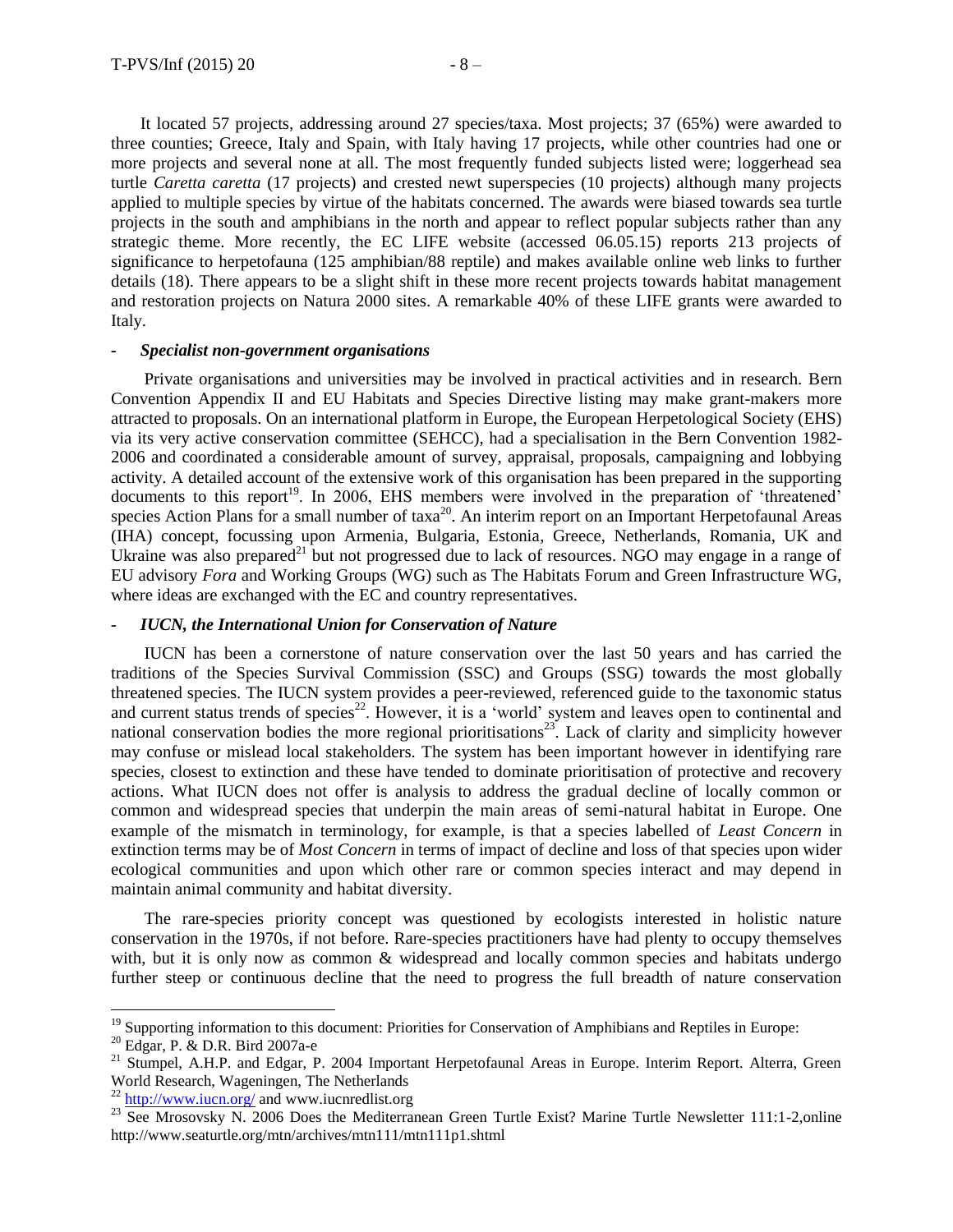It located 57 projects, addressing around 27 species/taxa. Most projects; 37 (65%) were awarded to three counties; Greece, Italy and Spain, with Italy having 17 projects, while other countries had one or more projects and several none at all. The most frequently funded subjects listed were; loggerhead sea turtle *Caretta caretta* (17 projects) and crested newt superspecies (10 projects) although many projects applied to multiple species by virtue of the habitats concerned. The awards were biased towards sea turtle projects in the south and amphibians in the north and appear to reflect popular subjects rather than any strategic theme. More recently, the EC LIFE website (accessed 06.05.15) reports 213 projects of significance to herpetofauna (125 amphibian/88 reptile) and makes available online web links to further details (18). There appears to be a slight shift in these more recent projects towards habitat management and restoration projects on Natura 2000 sites. A remarkable 40% of these LIFE grants were awarded to Italy.

#### *- Specialist non-government organisations*

Private organisations and universities may be involved in practical activities and in research. Bern Convention Appendix II and EU Habitats and Species Directive listing may make grant-makers more attracted to proposals. On an international platform in Europe, the European Herpetological Society (EHS) via its very active conservation committee (SEHCC), had a specialisation in the Bern Convention 1982- 2006 and coordinated a considerable amount of survey, appraisal, proposals, campaigning and lobbying activity. A detailed account of the extensive work of this organisation has been prepared in the supporting documents to this report<sup>19</sup>. In 2006, EHS members were involved in the preparation of 'threatened' species Action Plans for a small number of taxa<sup>20</sup>. An interim report on an Important Herpetofaunal Areas (IHA) concept, focussing upon Armenia, Bulgaria, Estonia, Greece, Netherlands, Romania, UK and Ukraine was also prepared<sup>21</sup> but not progressed due to lack of resources. NGO may engage in a range of EU advisory *Fora* and Working Groups (WG) such as The Habitats Forum and Green Infrastructure WG, where ideas are exchanged with the EC and country representatives.

#### *- IUCN, the International Union for Conservation of Nature*

IUCN has been a cornerstone of nature conservation over the last 50 years and has carried the traditions of the Species Survival Commission (SSC) and Groups (SSG) towards the most globally threatened species. The IUCN system provides a peer-reviewed, referenced guide to the taxonomic status and current status trends of species<sup>22</sup>. However, it is a 'world' system and leaves open to continental and national conservation bodies the more regional prioritisations<sup>23</sup>. Lack of clarity and simplicity however may confuse or mislead local stakeholders. The system has been important however in identifying rare species, closest to extinction and these have tended to dominate prioritisation of protective and recovery actions. What IUCN does not offer is analysis to address the gradual decline of locally common or common and widespread species that underpin the main areas of semi-natural habitat in Europe. One example of the mismatch in terminology, for example, is that a species labelled of *Least Concern* in extinction terms may be of *Most Concern* in terms of impact of decline and loss of that species upon wider ecological communities and upon which other rare or common species interact and may depend in maintain animal community and habitat diversity.

The rare-species priority concept was questioned by ecologists interested in holistic nature conservation in the 1970s, if not before. Rare-species practitioners have had plenty to occupy themselves with, but it is only now as common & widespread and locally common species and habitats undergo further steep or continuous decline that the need to progress the full breadth of nature conservation

<sup>&</sup>lt;sup>19</sup> Supporting information to this document: Priorities for Conservation of Amphibians and Reptiles in Europe:

<sup>20</sup> Edgar, P. & D.R. Bird 2007a-e

<sup>&</sup>lt;sup>21</sup> Stumpel, A.H.P. and Edgar, P. 2004 Important Herpetofaunal Areas in Europe. Interim Report. Alterra, Green World Research, Wageningen, The Netherlands

 $^{22}$  <http://www.iucn.org/> and www.iucnredlist.org

<sup>&</sup>lt;sup>23</sup> See Mrosovsky N. 2006 Does the Mediterranean Green Turtle Exist? Marine Turtle Newsletter 111:1-2,online http://www.seaturtle.org/mtn/archives/mtn111/mtn111p1.shtml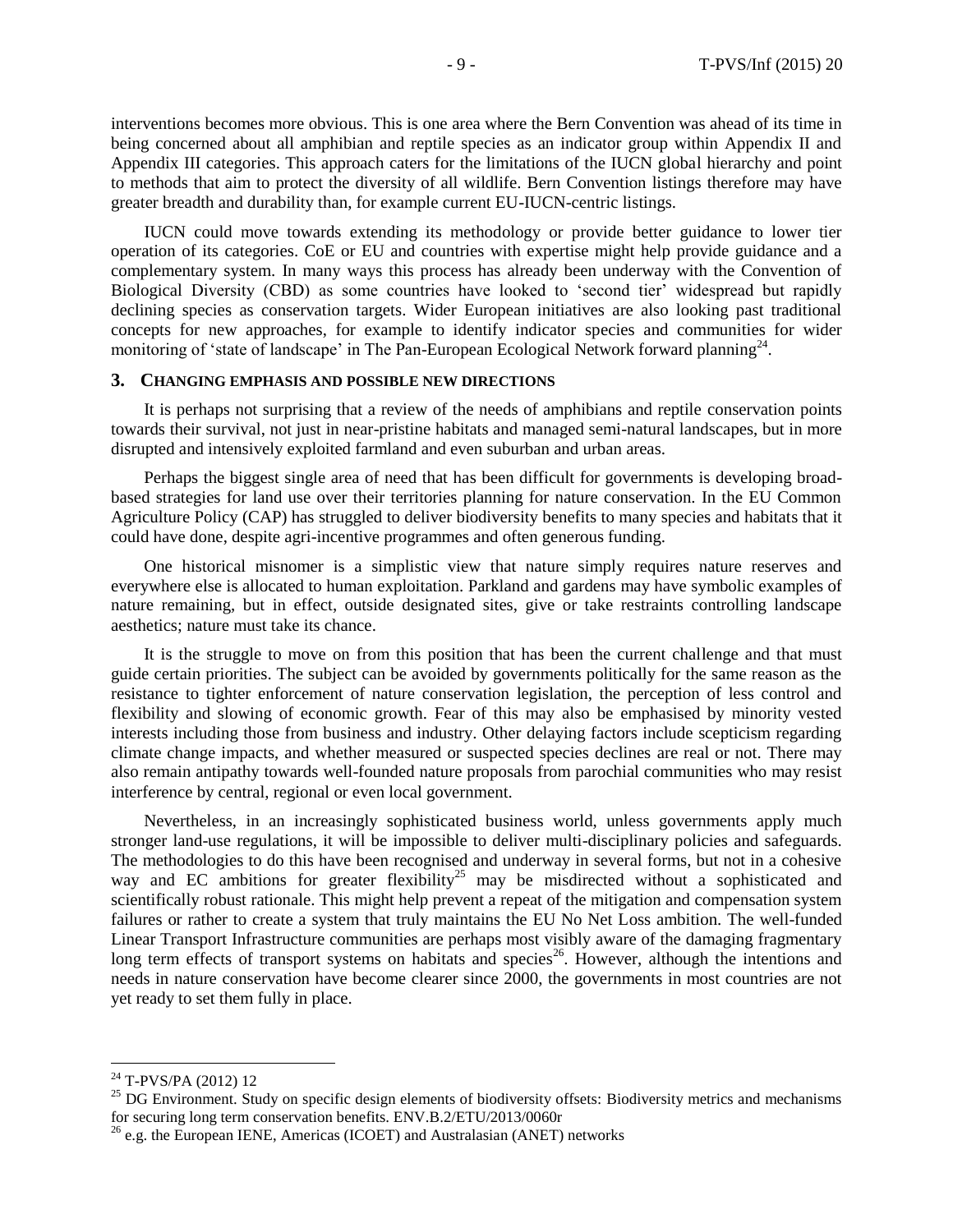interventions becomes more obvious. This is one area where the Bern Convention was ahead of its time in being concerned about all amphibian and reptile species as an indicator group within Appendix II and Appendix III categories. This approach caters for the limitations of the IUCN global hierarchy and point to methods that aim to protect the diversity of all wildlife. Bern Convention listings therefore may have greater breadth and durability than, for example current EU-IUCN-centric listings.

IUCN could move towards extending its methodology or provide better guidance to lower tier operation of its categories. CoE or EU and countries with expertise might help provide guidance and a complementary system. In many ways this process has already been underway with the Convention of Biological Diversity (CBD) as some countries have looked to 'second tier' widespread but rapidly declining species as conservation targets. Wider European initiatives are also looking past traditional concepts for new approaches, for example to identify indicator species and communities for wider monitoring of 'state of landscape' in The Pan-European Ecological Network forward planning<sup>24</sup>.

#### **3. CHANGING EMPHASIS AND POSSIBLE NEW DIRECTIONS**

It is perhaps not surprising that a review of the needs of amphibians and reptile conservation points towards their survival, not just in near-pristine habitats and managed semi-natural landscapes, but in more disrupted and intensively exploited farmland and even suburban and urban areas.

Perhaps the biggest single area of need that has been difficult for governments is developing broadbased strategies for land use over their territories planning for nature conservation. In the EU Common Agriculture Policy (CAP) has struggled to deliver biodiversity benefits to many species and habitats that it could have done, despite agri-incentive programmes and often generous funding.

One historical misnomer is a simplistic view that nature simply requires nature reserves and everywhere else is allocated to human exploitation. Parkland and gardens may have symbolic examples of nature remaining, but in effect, outside designated sites, give or take restraints controlling landscape aesthetics; nature must take its chance.

It is the struggle to move on from this position that has been the current challenge and that must guide certain priorities. The subject can be avoided by governments politically for the same reason as the resistance to tighter enforcement of nature conservation legislation, the perception of less control and flexibility and slowing of economic growth. Fear of this may also be emphasised by minority vested interests including those from business and industry. Other delaying factors include scepticism regarding climate change impacts, and whether measured or suspected species declines are real or not. There may also remain antipathy towards well-founded nature proposals from parochial communities who may resist interference by central, regional or even local government.

Nevertheless, in an increasingly sophisticated business world, unless governments apply much stronger land-use regulations, it will be impossible to deliver multi-disciplinary policies and safeguards. The methodologies to do this have been recognised and underway in several forms, but not in a cohesive way and EC ambitions for greater flexibility<sup>25</sup> may be misdirected without a sophisticated and scientifically robust rationale. This might help prevent a repeat of the mitigation and compensation system failures or rather to create a system that truly maintains the EU No Net Loss ambition. The well-funded Linear Transport Infrastructure communities are perhaps most visibly aware of the damaging fragmentary long term effects of transport systems on habitats and species<sup>26</sup>. However, although the intentions and needs in nature conservation have become clearer since 2000, the governments in most countries are not yet ready to set them fully in place.

<sup>&</sup>lt;sup>24</sup> T-PVS/PA (2012) 12

<sup>&</sup>lt;sup>25</sup> DG Environment. Study on specific design elements of biodiversity offsets: Biodiversity metrics and mechanisms for securing long term conservation benefits. ENV.B.2/ETU/2013/0060r

 $^{26}$  e.g. the European IENE, Americas (ICOET) and Australasian (ANET) networks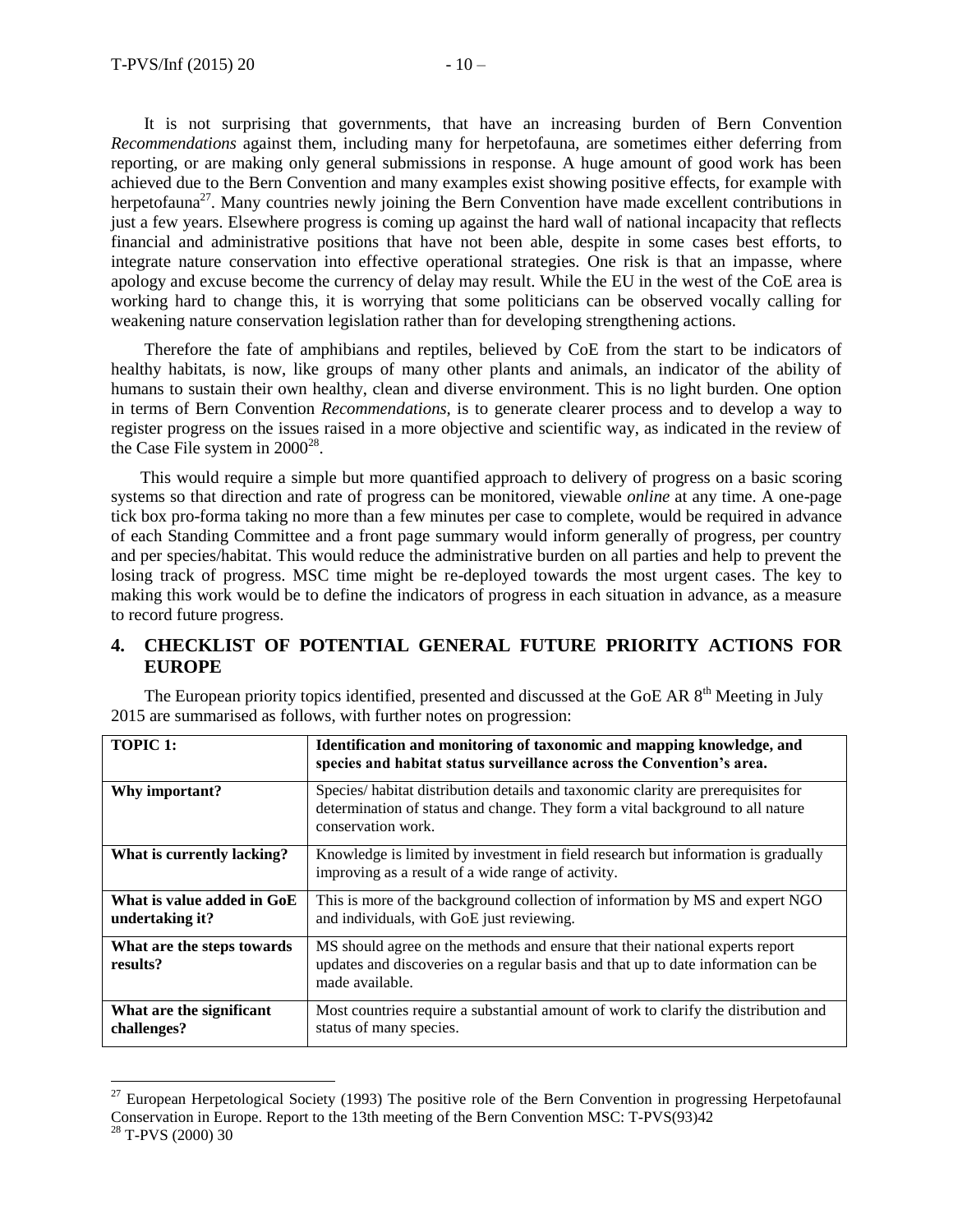It is not surprising that governments, that have an increasing burden of Bern Convention *Recommendations* against them, including many for herpetofauna, are sometimes either deferring from reporting, or are making only general submissions in response. A huge amount of good work has been achieved due to the Bern Convention and many examples exist showing positive effects, for example with herpetofauna<sup>27</sup>. Many countries newly joining the Bern Convention have made excellent contributions in just a few years. Elsewhere progress is coming up against the hard wall of national incapacity that reflects financial and administrative positions that have not been able, despite in some cases best efforts, to integrate nature conservation into effective operational strategies. One risk is that an impasse, where apology and excuse become the currency of delay may result. While the EU in the west of the CoE area is working hard to change this, it is worrying that some politicians can be observed vocally calling for weakening nature conservation legislation rather than for developing strengthening actions.

Therefore the fate of amphibians and reptiles, believed by CoE from the start to be indicators of healthy habitats, is now, like groups of many other plants and animals, an indicator of the ability of humans to sustain their own healthy, clean and diverse environment. This is no light burden. One option in terms of Bern Convention *Recommendations,* is to generate clearer process and to develop a way to register progress on the issues raised in a more objective and scientific way, as indicated in the review of the Case File system in  $2000^{28}$ .

This would require a simple but more quantified approach to delivery of progress on a basic scoring systems so that direction and rate of progress can be monitored, viewable *online* at any time. A one-page tick box pro-forma taking no more than a few minutes per case to complete, would be required in advance of each Standing Committee and a front page summary would inform generally of progress, per country and per species/habitat. This would reduce the administrative burden on all parties and help to prevent the losing track of progress. MSC time might be re-deployed towards the most urgent cases. The key to making this work would be to define the indicators of progress in each situation in advance, as a measure to record future progress.

## **4. CHECKLIST OF POTENTIAL GENERAL FUTURE PRIORITY ACTIONS FOR EUROPE**

The European priority topics identified, presented and discussed at the GoE AR 8<sup>th</sup> Meeting in July 2015 are summarised as follows, with further notes on progression:

| <b>TOPIC 1:</b>                               | Identification and monitoring of taxonomic and mapping knowledge, and<br>species and habitat status surveillance across the Convention's area.                                           |
|-----------------------------------------------|------------------------------------------------------------------------------------------------------------------------------------------------------------------------------------------|
| Why important?                                | Species/habitat distribution details and taxonomic clarity are prerequisites for<br>determination of status and change. They form a vital background to all nature<br>conservation work. |
| What is currently lacking?                    | Knowledge is limited by investment in field research but information is gradually<br>improving as a result of a wide range of activity.                                                  |
| What is value added in GoE<br>undertaking it? | This is more of the background collection of information by MS and expert NGO<br>and individuals, with GoE just reviewing.                                                               |
| What are the steps towards<br>results?        | MS should agree on the methods and ensure that their national experts report<br>updates and discoveries on a regular basis and that up to date information can be<br>made available.     |
| What are the significant<br>challenges?       | Most countries require a substantial amount of work to clarify the distribution and<br>status of many species.                                                                           |

<sup>27</sup> <sup>27</sup> European Herpetological Society (1993) The positive role of the Bern Convention in progressing Herpetofaunal Conservation in Europe. Report to the 13th meeting of the Bern Convention MSC: T-PVS(93)42 <sup>28</sup> T-PVS (2000) 30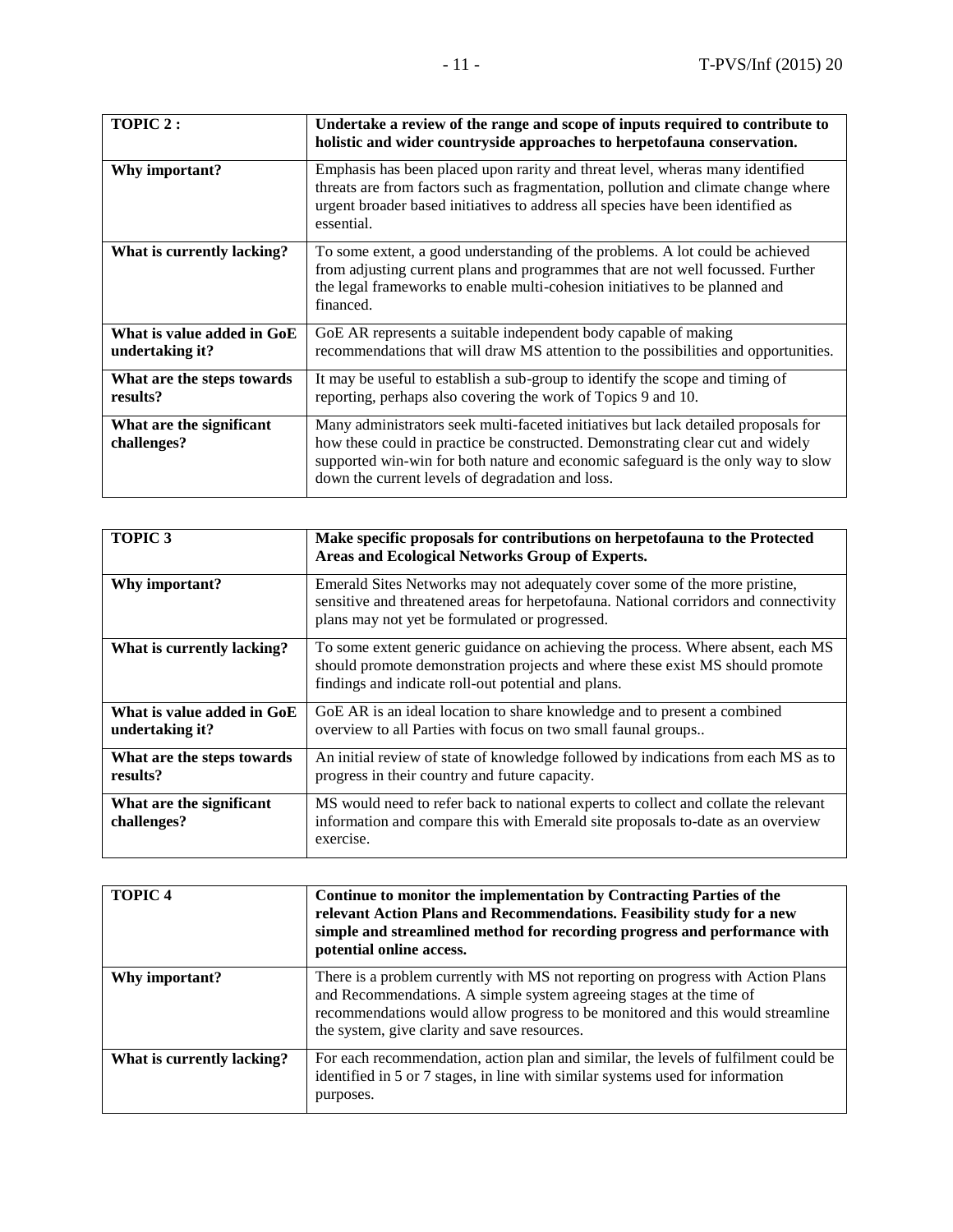| TOPIC 2:                                      | Undertake a review of the range and scope of inputs required to contribute to<br>holistic and wider countryside approaches to herpetofauna conservation.                                                                                                                                                     |
|-----------------------------------------------|--------------------------------------------------------------------------------------------------------------------------------------------------------------------------------------------------------------------------------------------------------------------------------------------------------------|
| Why important?                                | Emphasis has been placed upon rarity and threat level, wheras many identified<br>threats are from factors such as fragmentation, pollution and climate change where<br>urgent broader based initiatives to address all species have been identified as<br>essential.                                         |
| What is currently lacking?                    | To some extent, a good understanding of the problems. A lot could be achieved<br>from adjusting current plans and programmes that are not well focussed. Further<br>the legal frameworks to enable multi-cohesion initiatives to be planned and<br>financed.                                                 |
| What is value added in GoE<br>undertaking it? | GoE AR represents a suitable independent body capable of making<br>recommendations that will draw MS attention to the possibilities and opportunities.                                                                                                                                                       |
| What are the steps towards<br>results?        | It may be useful to establish a sub-group to identify the scope and timing of<br>reporting, perhaps also covering the work of Topics 9 and 10.                                                                                                                                                               |
| What are the significant<br>challenges?       | Many administrators seek multi-faceted initiatives but lack detailed proposals for<br>how these could in practice be constructed. Demonstrating clear cut and widely<br>supported win-win for both nature and economic safeguard is the only way to slow<br>down the current levels of degradation and loss. |

| <b>TOPIC3</b>                                 | Make specific proposals for contributions on herpetofauna to the Protected<br>Areas and Ecological Networks Group of Experts.                                                                                           |
|-----------------------------------------------|-------------------------------------------------------------------------------------------------------------------------------------------------------------------------------------------------------------------------|
| Why important?                                | Emerald Sites Networks may not adequately cover some of the more pristine,<br>sensitive and threatened areas for herpetofauna. National corridors and connectivity<br>plans may not yet be formulated or progressed.    |
| What is currently lacking?                    | To some extent generic guidance on achieving the process. Where absent, each MS<br>should promote demonstration projects and where these exist MS should promote<br>findings and indicate roll-out potential and plans. |
| What is value added in GoE<br>undertaking it? | GoE AR is an ideal location to share knowledge and to present a combined<br>overview to all Parties with focus on two small faunal groups                                                                               |
| What are the steps towards<br>results?        | An initial review of state of knowledge followed by indications from each MS as to<br>progress in their country and future capacity.                                                                                    |
| What are the significant<br>challenges?       | MS would need to refer back to national experts to collect and collate the relevant<br>information and compare this with Emerald site proposals to-date as an overview<br>exercise.                                     |

| <b>TOPIC4</b>              | Continue to monitor the implementation by Contracting Parties of the<br>relevant Action Plans and Recommendations. Feasibility study for a new<br>simple and streamlined method for recording progress and performance with<br>potential online access.                                   |
|----------------------------|-------------------------------------------------------------------------------------------------------------------------------------------------------------------------------------------------------------------------------------------------------------------------------------------|
| Why important?             | There is a problem currently with MS not reporting on progress with Action Plans<br>and Recommendations. A simple system agreeing stages at the time of<br>recommendations would allow progress to be monitored and this would streamline<br>the system, give clarity and save resources. |
| What is currently lacking? | For each recommendation, action plan and similar, the levels of fulfilment could be<br>identified in 5 or 7 stages, in line with similar systems used for information<br>purposes.                                                                                                        |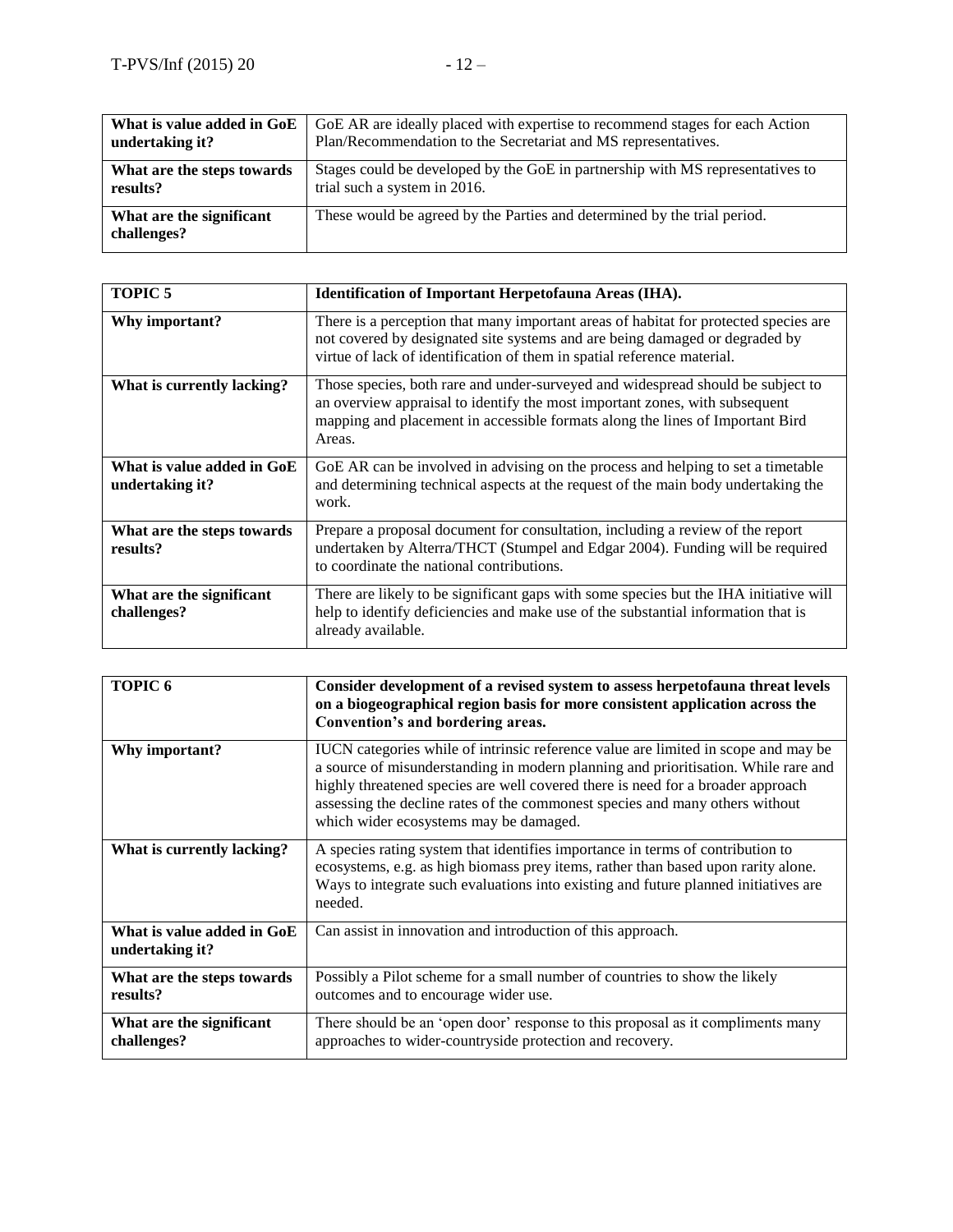| What is value added in GoE              | GoE AR are ideally placed with expertise to recommend stages for each Action   |
|-----------------------------------------|--------------------------------------------------------------------------------|
| undertaking it?                         | Plan/Recommendation to the Secretariat and MS representatives.                 |
| What are the steps towards              | Stages could be developed by the GoE in partnership with MS representatives to |
| results?                                | trial such a system in 2016.                                                   |
| What are the significant<br>challenges? | These would be agreed by the Parties and determined by the trial period.       |

| <b>TOPIC 5</b>                                | Identification of Important Herpetofauna Areas (IHA).                                                                                                                                                                                                     |
|-----------------------------------------------|-----------------------------------------------------------------------------------------------------------------------------------------------------------------------------------------------------------------------------------------------------------|
| Why important?                                | There is a perception that many important areas of habitat for protected species are<br>not covered by designated site systems and are being damaged or degraded by<br>virtue of lack of identification of them in spatial reference material.            |
| What is currently lacking?                    | Those species, both rare and under-surveyed and widespread should be subject to<br>an overview appraisal to identify the most important zones, with subsequent<br>mapping and placement in accessible formats along the lines of Important Bird<br>Areas. |
| What is value added in GoE<br>undertaking it? | GoE AR can be involved in advising on the process and helping to set a timetable<br>and determining technical aspects at the request of the main body undertaking the<br>work.                                                                            |
| What are the steps towards<br>results?        | Prepare a proposal document for consultation, including a review of the report<br>undertaken by Alterra/THCT (Stumpel and Edgar 2004). Funding will be required<br>to coordinate the national contributions.                                              |
| What are the significant<br>challenges?       | There are likely to be significant gaps with some species but the IHA initiative will<br>help to identify deficiencies and make use of the substantial information that is<br>already available.                                                          |

| TOPIC <sub>6</sub>                            | Consider development of a revised system to assess herpetofauna threat levels<br>on a biogeographical region basis for more consistent application across the<br>Convention's and bordering areas.                                                                                                                                                                                    |
|-----------------------------------------------|---------------------------------------------------------------------------------------------------------------------------------------------------------------------------------------------------------------------------------------------------------------------------------------------------------------------------------------------------------------------------------------|
| Why important?                                | IUCN categories while of intrinsic reference value are limited in scope and may be<br>a source of misunderstanding in modern planning and prioritisation. While rare and<br>highly threatened species are well covered there is need for a broader approach<br>assessing the decline rates of the commonest species and many others without<br>which wider ecosystems may be damaged. |
| What is currently lacking?                    | A species rating system that identifies importance in terms of contribution to<br>ecosystems, e.g. as high biomass prey items, rather than based upon rarity alone.<br>Ways to integrate such evaluations into existing and future planned initiatives are<br>needed.                                                                                                                 |
| What is value added in GoE<br>undertaking it? | Can assist in innovation and introduction of this approach.                                                                                                                                                                                                                                                                                                                           |
| What are the steps towards<br>results?        | Possibly a Pilot scheme for a small number of countries to show the likely<br>outcomes and to encourage wider use.                                                                                                                                                                                                                                                                    |
| What are the significant<br>challenges?       | There should be an 'open door' response to this proposal as it compliments many<br>approaches to wider-countryside protection and recovery.                                                                                                                                                                                                                                           |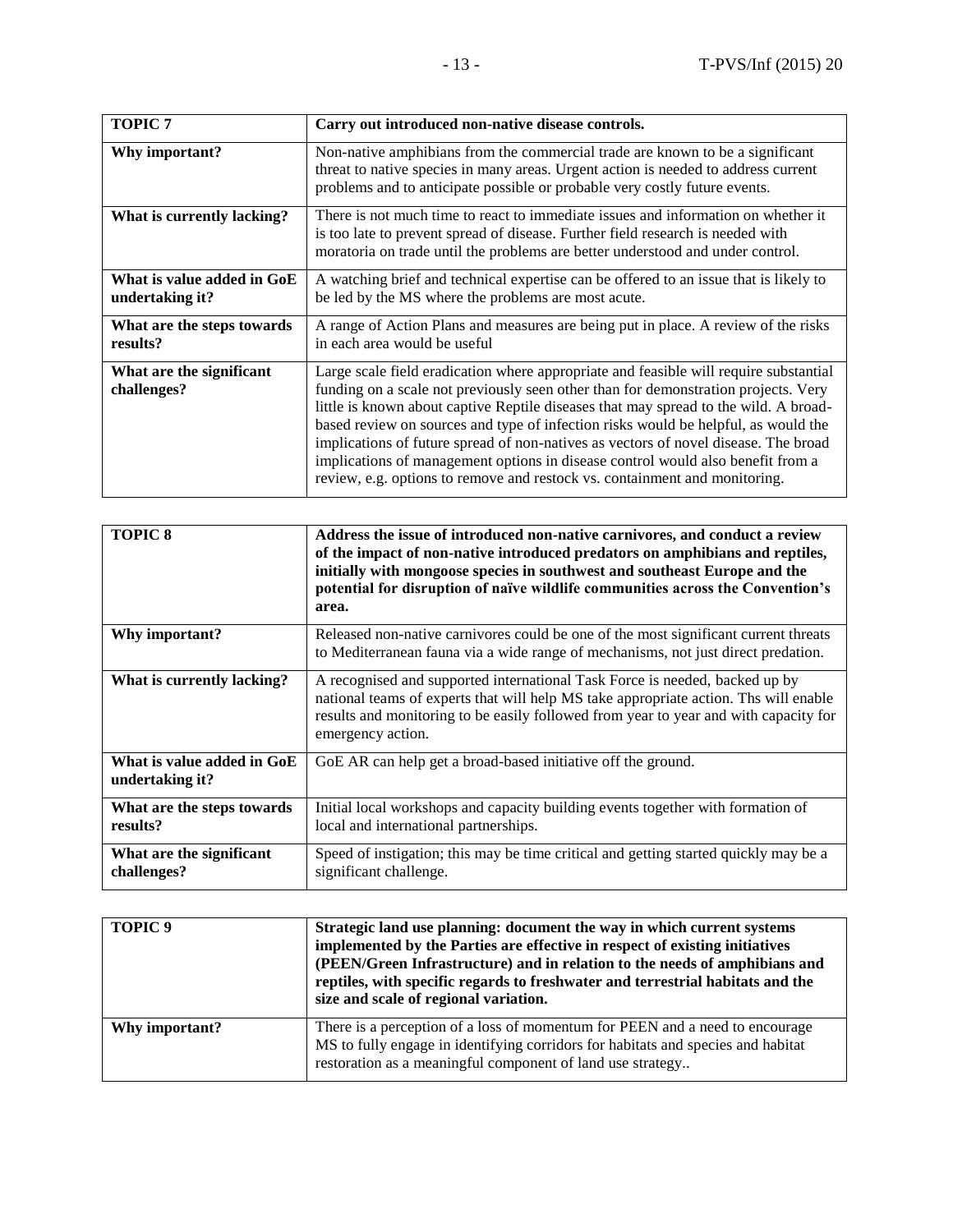| <b>TOPIC 7</b>                                | Carry out introduced non-native disease controls.                                                                                                                                                                                                                                                                                                                                                                                                                                                                                                                                                                 |
|-----------------------------------------------|-------------------------------------------------------------------------------------------------------------------------------------------------------------------------------------------------------------------------------------------------------------------------------------------------------------------------------------------------------------------------------------------------------------------------------------------------------------------------------------------------------------------------------------------------------------------------------------------------------------------|
| Why important?                                | Non-native amphibians from the commercial trade are known to be a significant<br>threat to native species in many areas. Urgent action is needed to address current<br>problems and to anticipate possible or probable very costly future events.                                                                                                                                                                                                                                                                                                                                                                 |
| What is currently lacking?                    | There is not much time to react to immediate issues and information on whether it<br>is too late to prevent spread of disease. Further field research is needed with<br>moratoria on trade until the problems are better understood and under control.                                                                                                                                                                                                                                                                                                                                                            |
| What is value added in GoE<br>undertaking it? | A watching brief and technical expertise can be offered to an issue that is likely to<br>be led by the MS where the problems are most acute.                                                                                                                                                                                                                                                                                                                                                                                                                                                                      |
| What are the steps towards<br>results?        | A range of Action Plans and measures are being put in place. A review of the risks<br>in each area would be useful                                                                                                                                                                                                                                                                                                                                                                                                                                                                                                |
| What are the significant<br>challenges?       | Large scale field eradication where appropriate and feasible will require substantial<br>funding on a scale not previously seen other than for demonstration projects. Very<br>little is known about captive Reptile diseases that may spread to the wild. A broad-<br>based review on sources and type of infection risks would be helpful, as would the<br>implications of future spread of non-natives as vectors of novel disease. The broad<br>implications of management options in disease control would also benefit from a<br>review, e.g. options to remove and restock vs. containment and monitoring. |

| <b>TOPIC 8</b>                                | Address the issue of introduced non-native carnivores, and conduct a review<br>of the impact of non-native introduced predators on amphibians and reptiles,<br>initially with mongoose species in southwest and southeast Europe and the<br>potential for disruption of naïve wildlife communities across the Convention's<br>area. |
|-----------------------------------------------|-------------------------------------------------------------------------------------------------------------------------------------------------------------------------------------------------------------------------------------------------------------------------------------------------------------------------------------|
| Why important?                                | Released non-native carnivores could be one of the most significant current threats<br>to Mediterranean fauna via a wide range of mechanisms, not just direct predation.                                                                                                                                                            |
| What is currently lacking?                    | A recognised and supported international Task Force is needed, backed up by<br>national teams of experts that will help MS take appropriate action. Ths will enable<br>results and monitoring to be easily followed from year to year and with capacity for<br>emergency action.                                                    |
| What is value added in GoE<br>undertaking it? | GoE AR can help get a broad-based initiative off the ground.                                                                                                                                                                                                                                                                        |
| What are the steps towards<br>results?        | Initial local workshops and capacity building events together with formation of<br>local and international partnerships.                                                                                                                                                                                                            |
| What are the significant<br>challenges?       | Speed of instigation; this may be time critical and getting started quickly may be a<br>significant challenge.                                                                                                                                                                                                                      |

| TOPIC <sub>9</sub> | Strategic land use planning: document the way in which current systems<br>implemented by the Parties are effective in respect of existing initiatives<br>(PEEN/Green Infrastructure) and in relation to the needs of amphibians and<br>reptiles, with specific regards to freshwater and terrestrial habitats and the<br>size and scale of regional variation. |
|--------------------|----------------------------------------------------------------------------------------------------------------------------------------------------------------------------------------------------------------------------------------------------------------------------------------------------------------------------------------------------------------|
| Why important?     | There is a perception of a loss of momentum for PEEN and a need to encourage<br>MS to fully engage in identifying corridors for habitats and species and habitat<br>restoration as a meaningful component of land use strategy                                                                                                                                 |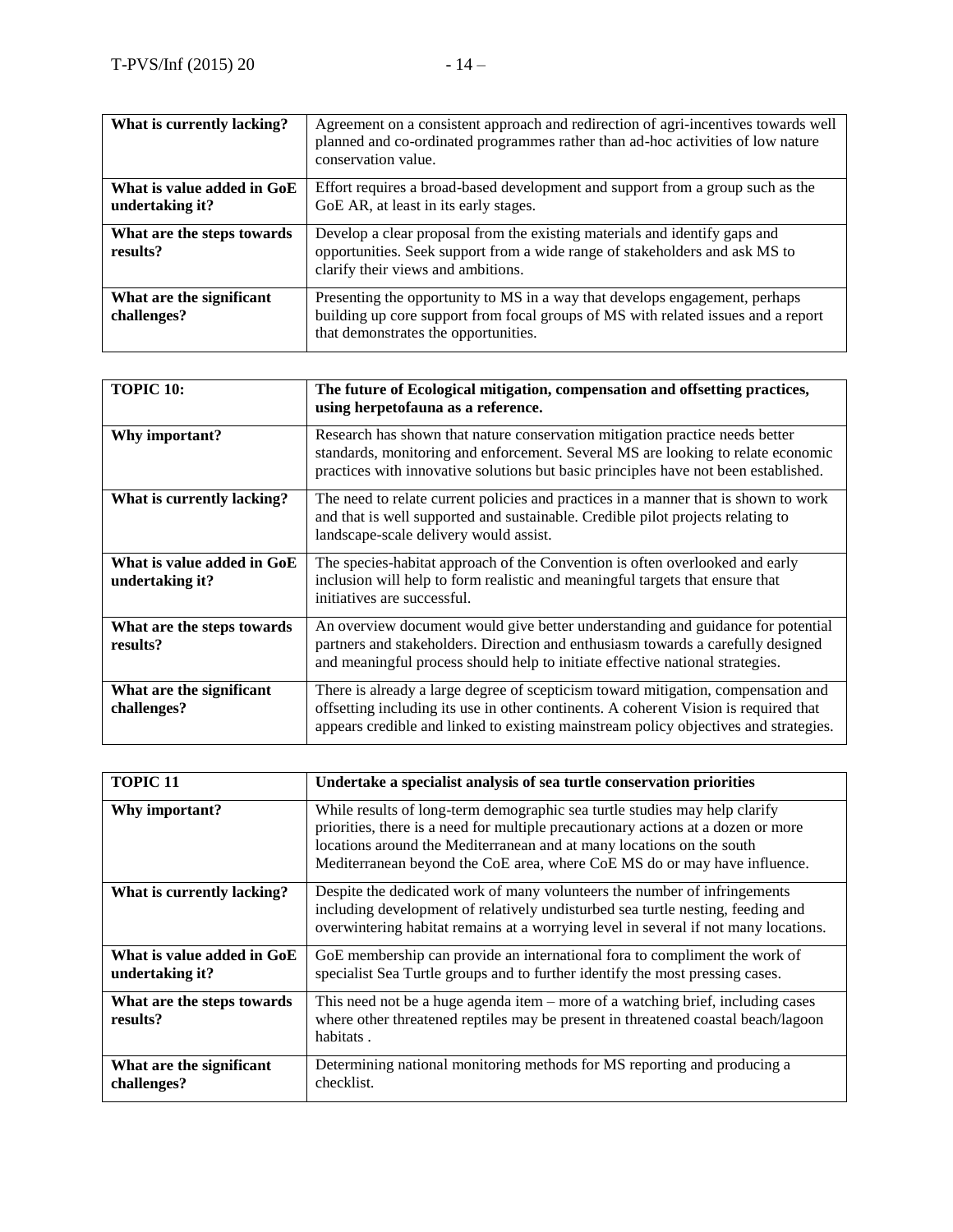| What is currently lacking? | Agreement on a consistent approach and redirection of agri-incentives towards well<br>planned and co-ordinated programmes rather than ad-hoc activities of low nature<br>conservation value. |
|----------------------------|----------------------------------------------------------------------------------------------------------------------------------------------------------------------------------------------|
| What is value added in GoE | Effort requires a broad-based development and support from a group such as the                                                                                                               |
| undertaking it?            | GoE AR, at least in its early stages.                                                                                                                                                        |
| What are the steps towards | Develop a clear proposal from the existing materials and identify gaps and                                                                                                                   |
| results?                   | opportunities. Seek support from a wide range of stakeholders and ask MS to                                                                                                                  |
|                            | clarify their views and ambitions.                                                                                                                                                           |
| What are the significant   | Presenting the opportunity to MS in a way that develops engagement, perhaps                                                                                                                  |
| challenges?                | building up core support from focal groups of MS with related issues and a report                                                                                                            |
|                            | that demonstrates the opportunities.                                                                                                                                                         |

| <b>TOPIC 10:</b>                              | The future of Ecological mitigation, compensation and offsetting practices,<br>using herpetofauna as a reference.                                                                                                                                                 |
|-----------------------------------------------|-------------------------------------------------------------------------------------------------------------------------------------------------------------------------------------------------------------------------------------------------------------------|
| Why important?                                | Research has shown that nature conservation mitigation practice needs better<br>standards, monitoring and enforcement. Several MS are looking to relate economic<br>practices with innovative solutions but basic principles have not been established.           |
| What is currently lacking?                    | The need to relate current policies and practices in a manner that is shown to work<br>and that is well supported and sustainable. Credible pilot projects relating to<br>landscape-scale delivery would assist.                                                  |
| What is value added in GoE<br>undertaking it? | The species-habitat approach of the Convention is often overlooked and early<br>inclusion will help to form realistic and meaningful targets that ensure that<br>initiatives are successful.                                                                      |
| What are the steps towards<br>results?        | An overview document would give better understanding and guidance for potential<br>partners and stakeholders. Direction and enthusiasm towards a carefully designed<br>and meaningful process should help to initiate effective national strategies.              |
| What are the significant<br>challenges?       | There is already a large degree of scepticism toward mitigation, compensation and<br>offsetting including its use in other continents. A coherent Vision is required that<br>appears credible and linked to existing mainstream policy objectives and strategies. |

| <b>TOPIC 11</b>                               | Undertake a specialist analysis of sea turtle conservation priorities                                                                                                                                                                                                                                                 |
|-----------------------------------------------|-----------------------------------------------------------------------------------------------------------------------------------------------------------------------------------------------------------------------------------------------------------------------------------------------------------------------|
| Why important?                                | While results of long-term demographic sea turtle studies may help clarify<br>priorities, there is a need for multiple precautionary actions at a dozen or more<br>locations around the Mediterranean and at many locations on the south<br>Mediterranean beyond the CoE area, where CoE MS do or may have influence. |
| What is currently lacking?                    | Despite the dedicated work of many volunteers the number of infringements<br>including development of relatively undisturbed sea turtle nesting, feeding and<br>overwintering habitat remains at a worrying level in several if not many locations.                                                                   |
| What is value added in GoE<br>undertaking it? | GoE membership can provide an international fora to compliment the work of<br>specialist Sea Turtle groups and to further identify the most pressing cases.                                                                                                                                                           |
| What are the steps towards<br>results?        | This need not be a huge agenda item $-$ more of a watching brief, including cases<br>where other threatened reptiles may be present in threatened coastal beach/lagoon<br>habitats.                                                                                                                                   |
| What are the significant<br>challenges?       | Determining national monitoring methods for MS reporting and producing a<br>checklist.                                                                                                                                                                                                                                |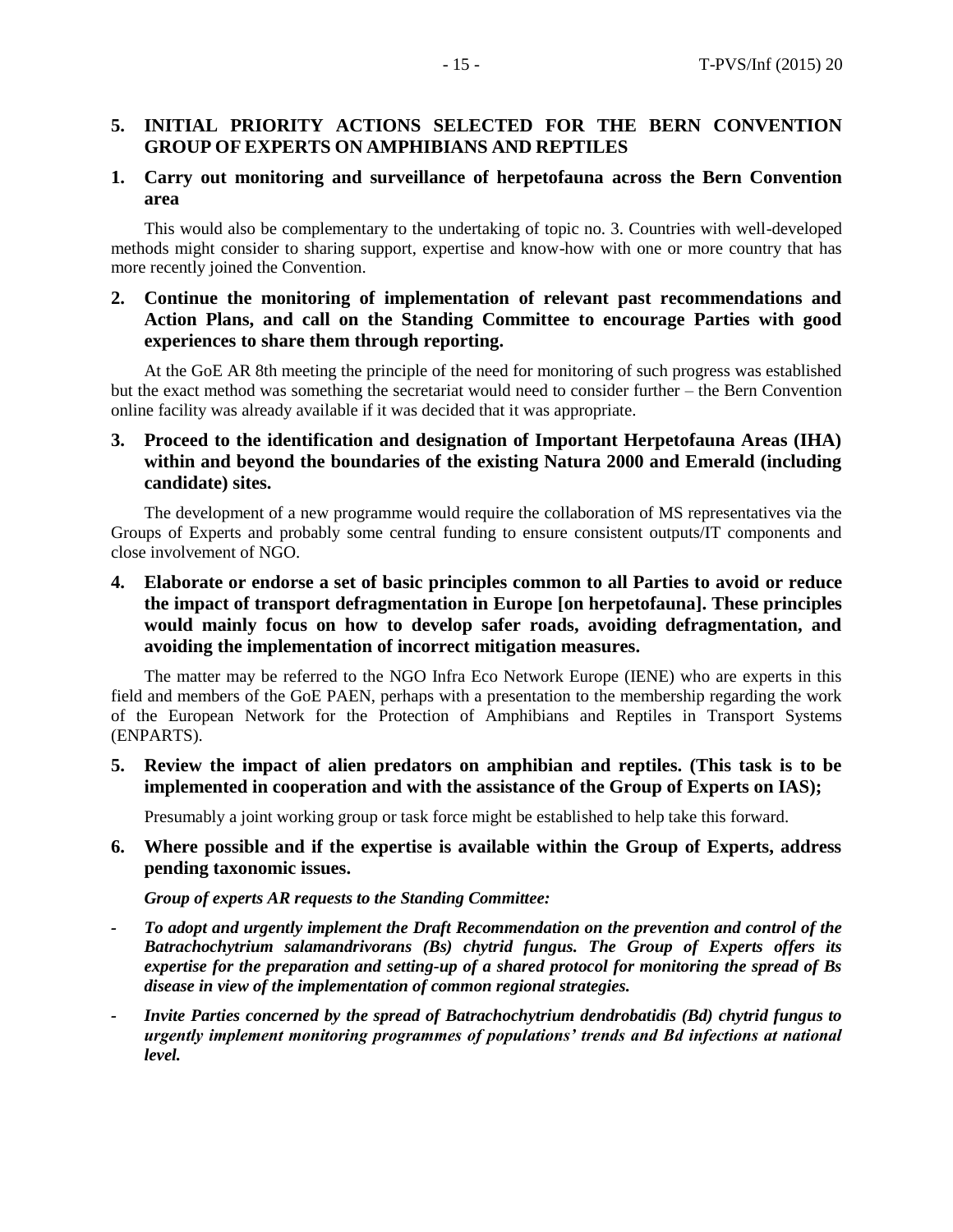## **5. INITIAL PRIORITY ACTIONS SELECTED FOR THE BERN CONVENTION GROUP OF EXPERTS ON AMPHIBIANS AND REPTILES**

## **1. Carry out monitoring and surveillance of herpetofauna across the Bern Convention area**

This would also be complementary to the undertaking of topic no. 3. Countries with well-developed methods might consider to sharing support, expertise and know-how with one or more country that has more recently joined the Convention.

## **2. Continue the monitoring of implementation of relevant past recommendations and Action Plans, and call on the Standing Committee to encourage Parties with good experiences to share them through reporting.**

At the GoE AR 8th meeting the principle of the need for monitoring of such progress was established but the exact method was something the secretariat would need to consider further – the Bern Convention online facility was already available if it was decided that it was appropriate.

## **3. Proceed to the identification and designation of Important Herpetofauna Areas (IHA) within and beyond the boundaries of the existing Natura 2000 and Emerald (including candidate) sites.**

The development of a new programme would require the collaboration of MS representatives via the Groups of Experts and probably some central funding to ensure consistent outputs/IT components and close involvement of NGO.

## **4. Elaborate or endorse a set of basic principles common to all Parties to avoid or reduce the impact of transport defragmentation in Europe [on herpetofauna]. These principles would mainly focus on how to develop safer roads, avoiding defragmentation, and avoiding the implementation of incorrect mitigation measures.**

The matter may be referred to the NGO Infra Eco Network Europe (IENE) who are experts in this field and members of the GoE PAEN, perhaps with a presentation to the membership regarding the work of the European Network for the Protection of Amphibians and Reptiles in Transport Systems (ENPARTS).

## **5. Review the impact of alien predators on amphibian and reptiles. (This task is to be implemented in cooperation and with the assistance of the Group of Experts on IAS);**

Presumably a joint working group or task force might be established to help take this forward.

## **6. Where possible and if the expertise is available within the Group of Experts, address pending taxonomic issues.**

*Group of experts AR requests to the Standing Committee:*

- *- To adopt and urgently implement the Draft Recommendation on the prevention and control of the Batrachochytrium salamandrivorans (Bs) chytrid fungus. The Group of Experts offers its expertise for the preparation and setting-up of a shared protocol for monitoring the spread of Bs disease in view of the implementation of common regional strategies.*
- *- Invite Parties concerned by the spread of Batrachochytrium dendrobatidis (Bd) chytrid fungus to urgently implement monitoring programmes of populations' trends and Bd infections at national level.*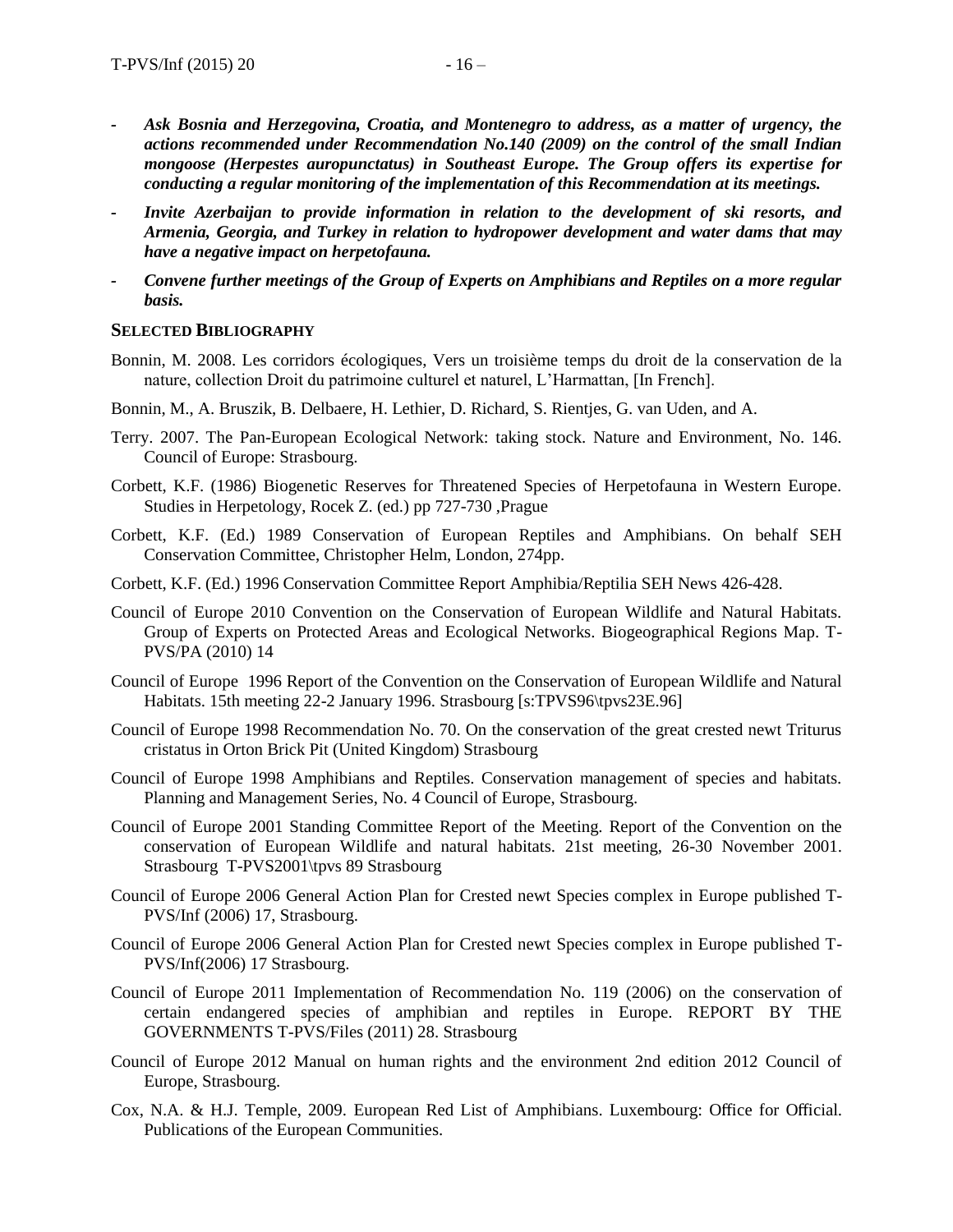- *- Ask Bosnia and Herzegovina, Croatia, and Montenegro to address, as a matter of urgency, the actions recommended under Recommendation No.140 (2009) on the control of the small Indian mongoose (Herpestes auropunctatus) in Southeast Europe. The Group offers its expertise for conducting a regular monitoring of the implementation of this Recommendation at its meetings.*
- *Invite Azerbaijan to provide information in relation to the development of ski resorts, and Armenia, Georgia, and Turkey in relation to hydropower development and water dams that may have a negative impact on herpetofauna.*
- *- Convene further meetings of the Group of Experts on Amphibians and Reptiles on a more regular basis.*

#### **SELECTED BIBLIOGRAPHY**

- Bonnin, M. 2008. Les corridors écologiques, Vers un troisième temps du droit de la conservation de la nature, collection Droit du patrimoine culturel et naturel, L'Harmattan, [In French].
- Bonnin, M., A. Bruszik, B. Delbaere, H. Lethier, D. Richard, S. Rientjes, G. van Uden, and A.
- Terry. 2007. The Pan-European Ecological Network: taking stock. Nature and Environment, No. 146. Council of Europe: Strasbourg.
- Corbett, K.F. (1986) Biogenetic Reserves for Threatened Species of Herpetofauna in Western Europe. Studies in Herpetology, Rocek Z. (ed.) pp 727-730 ,Prague
- Corbett, K.F. (Ed.) 1989 Conservation of European Reptiles and Amphibians. On behalf SEH Conservation Committee, Christopher Helm, London, 274pp.
- Corbett, K.F. (Ed.) 1996 Conservation Committee Report Amphibia/Reptilia SEH News 426-428.
- Council of Europe 2010 Convention on the Conservation of European Wildlife and Natural Habitats. Group of Experts on Protected Areas and Ecological Networks. Biogeographical Regions Map. T-PVS/PA (2010) 14
- Council of Europe 1996 Report of the Convention on the Conservation of European Wildlife and Natural Habitats. 15th meeting 22-2 January 1996. Strasbourg [s:TPVS96\tpvs23E.96]
- Council of Europe 1998 Recommendation No. 70. On the conservation of the great crested newt Triturus cristatus in Orton Brick Pit (United Kingdom) Strasbourg
- Council of Europe 1998 Amphibians and Reptiles. Conservation management of species and habitats. Planning and Management Series, No. 4 Council of Europe, Strasbourg.
- Council of Europe 2001 Standing Committee Report of the Meeting. Report of the Convention on the conservation of European Wildlife and natural habitats. 21st meeting, 26-30 November 2001. Strasbourg T-PVS2001\tpvs 89 Strasbourg
- Council of Europe 2006 General Action Plan for Crested newt Species complex in Europe published T-PVS/Inf (2006) 17, Strasbourg.
- Council of Europe 2006 General Action Plan for Crested newt Species complex in Europe published T-PVS/Inf(2006) 17 Strasbourg.
- Council of Europe 2011 Implementation of Recommendation No. 119 (2006) on the conservation of certain endangered species of amphibian and reptiles in Europe. REPORT BY THE GOVERNMENTS T-PVS/Files (2011) 28. Strasbourg
- Council of Europe 2012 Manual on human rights and the environment 2nd edition 2012 Council of Europe, Strasbourg.
- Cox, N.A. & H.J. Temple, 2009. European Red List of Amphibians. Luxembourg: Office for Official. Publications of the European Communities.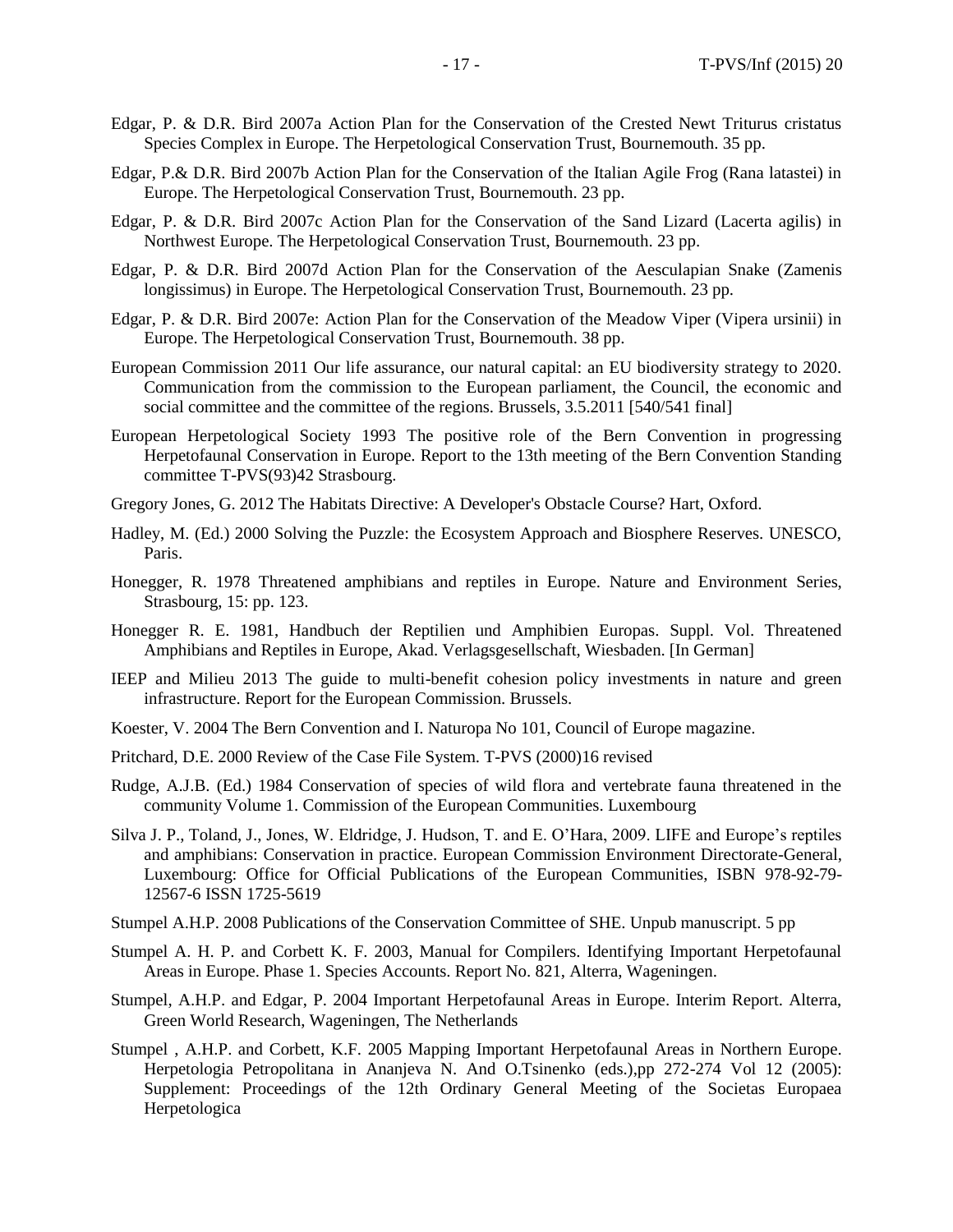- Edgar, P. & D.R. Bird 2007a Action Plan for the Conservation of the Crested Newt Triturus cristatus Species Complex in Europe. The Herpetological Conservation Trust, Bournemouth. 35 pp.
- Edgar, P.& D.R. Bird 2007b Action Plan for the Conservation of the Italian Agile Frog (Rana latastei) in Europe. The Herpetological Conservation Trust, Bournemouth. 23 pp.
- Edgar, P. & D.R. Bird 2007c Action Plan for the Conservation of the Sand Lizard (Lacerta agilis) in Northwest Europe. The Herpetological Conservation Trust, Bournemouth. 23 pp.
- Edgar, P. & D.R. Bird 2007d Action Plan for the Conservation of the Aesculapian Snake (Zamenis longissimus) in Europe. The Herpetological Conservation Trust, Bournemouth. 23 pp.
- Edgar, P. & D.R. Bird 2007e: Action Plan for the Conservation of the Meadow Viper (Vipera ursinii) in Europe. The Herpetological Conservation Trust, Bournemouth. 38 pp.
- European Commission 2011 Our life assurance, our natural capital: an EU biodiversity strategy to 2020. Communication from the commission to the European parliament, the Council, the economic and social committee and the committee of the regions. Brussels, 3.5.2011 [540/541 final]
- European Herpetological Society 1993 The positive role of the Bern Convention in progressing Herpetofaunal Conservation in Europe. Report to the 13th meeting of the Bern Convention Standing committee T-PVS(93)42 Strasbourg.
- Gregory Jones, G. 2012 The Habitats Directive: A Developer's Obstacle Course? Hart, Oxford.
- Hadley, M. (Ed.) 2000 Solving the Puzzle: the Ecosystem Approach and Biosphere Reserves. UNESCO, Paris.
- Honegger, R. 1978 Threatened amphibians and reptiles in Europe. Nature and Environment Series, Strasbourg, 15: pp. 123.
- Honegger R. E. 1981, Handbuch der Reptilien und Amphibien Europas. Suppl. Vol. Threatened Amphibians and Reptiles in Europe, Akad. Verlagsgesellschaft, Wiesbaden. [In German]
- IEEP and Milieu 2013 The guide to multi-benefit cohesion policy investments in nature and green infrastructure. Report for the European Commission. Brussels.
- Koester, V. 2004 The Bern Convention and I. Naturopa No 101, Council of Europe magazine.
- Pritchard, D.E. 2000 Review of the Case File System. T-PVS (2000)16 revised
- Rudge, A.J.B. (Ed.) 1984 Conservation of species of wild flora and vertebrate fauna threatened in the community Volume 1. Commission of the European Communities. Luxembourg
- Silva J. P., Toland, J., Jones, W. Eldridge, J. Hudson, T. and E. O'Hara, 2009. LIFE and Europe's reptiles and amphibians: Conservation in practice. European Commission Environment Directorate-General, Luxembourg: Office for Official Publications of the European Communities, ISBN 978-92-79- 12567-6 ISSN 1725-5619
- Stumpel A.H.P. 2008 Publications of the Conservation Committee of SHE. Unpub manuscript. 5 pp
- Stumpel A. H. P. and Corbett K. F. 2003, Manual for Compilers. Identifying Important Herpetofaunal Areas in Europe. Phase 1. Species Accounts. Report No. 821, Alterra, Wageningen.
- Stumpel, A.H.P. and Edgar, P. 2004 Important Herpetofaunal Areas in Europe. Interim Report. Alterra, Green World Research, Wageningen, The Netherlands
- Stumpel , A.H.P. and Corbett, K.F. 2005 Mapping Important Herpetofaunal Areas in Northern Europe. Herpetologia Petropolitana in Ananjeva N. And O.Tsinenko (eds.),pp 272-274 Vol 12 (2005): Supplement: Proceedings of the 12th Ordinary General Meeting of the Societas Europaea Herpetologica